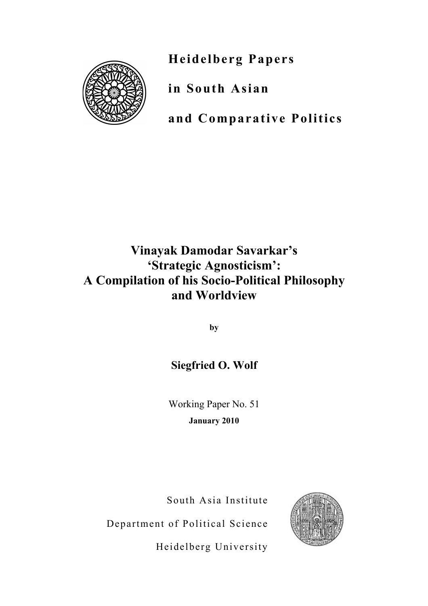**Heidelberg Papers**



**in South Asian**

**and Comparative Politics**

# **Vinayak Damodar Savarkar's 'Strategic Agnosticism': A Compilation of his Socio-Political Philosophy and Worldview**

**by**

## **Siegfried O. Wolf**

Working Paper No. 51 **January 2010**

South Asia Institute

Department of Political Science



Heidelberg University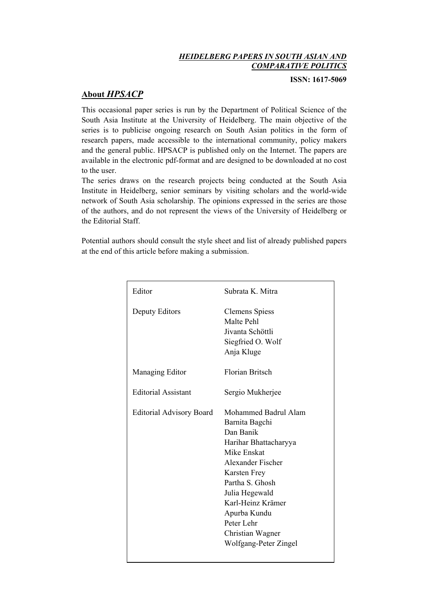#### *HEIDELBERG PAPERS IN SOUTH ASIAN AND COMPARATIVE POLITICS*

**ISSN: 1617-5069**

### **About** *HPSACP*

This occasional paper series is run by the Department of Political Science of the South Asia Institute at the University of Heidelberg. The main objective of the series is to publicise ongoing research on South Asian politics in the form of research papers, made accessible to the international community, policy makers and the general public. HPSACP is published only on the Internet. The papers are available in the electronic pdf-format and are designed to be downloaded at no cost to the user.

The series draws on the research projects being conducted at the South Asia Institute in Heidelberg, senior seminars by visiting scholars and the world-wide network of South Asia scholarship. The opinions expressed in the series are those of the authors, and do not represent the views of the University of Heidelberg or the Editorial Staff.

Potential authors should consult the style sheet and list of already published papers at the end of this article before making a submission.

| Editor                          | Subrata K. Mitra                                                                                                                                                                                                                                                             |
|---------------------------------|------------------------------------------------------------------------------------------------------------------------------------------------------------------------------------------------------------------------------------------------------------------------------|
| Deputy Editors                  | <b>Clemens Spiess</b><br>Malte Pehl<br>Jivanta Schöttli<br>Siegfried O. Wolf<br>Anja Kluge                                                                                                                                                                                   |
| Managing Editor                 | <b>Florian Britsch</b>                                                                                                                                                                                                                                                       |
| <b>Editorial Assistant</b>      | Sergio Mukherjee                                                                                                                                                                                                                                                             |
| <b>Editorial Advisory Board</b> | Mohammed Badrul Alam<br>Barnita Bagchi<br>Dan Banik<br>Harihar Bhattacharyya<br>Mike Enskat<br>Alexander Fischer<br><b>Karsten Frey</b><br>Partha S. Ghosh<br>Julia Hegewald<br>Karl-Heinz Krämer<br>Apurba Kundu<br>Peter Lehr<br>Christian Wagner<br>Wolfgang-Peter Zingel |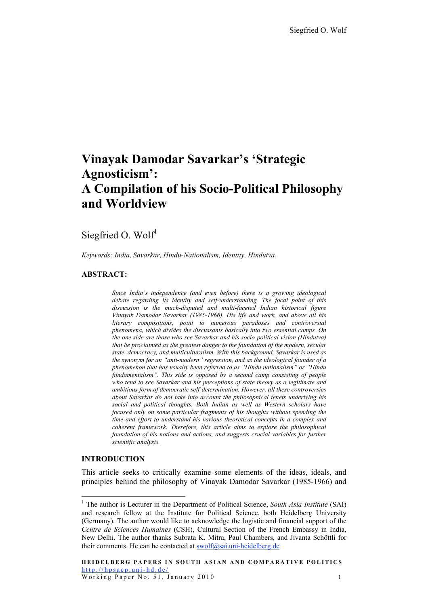## **Vinayak Damodar Savarkar's 'Strategic Agnosticism': A Compilation of his Socio-Political Philosophy and Worldview**

### Siegfried O. Wolf<sup>1</sup>

*Keywords: India, Savarkar, Hindu-Nationalism, Identity, Hindutva.*

#### **ABSTRACT:**

*Since India's independence (and even before) there is a growing ideological debate regarding its identity and self-understanding. The focal point of this discussion is the much-disputed and multi-faceted Indian historical figure Vinayak Damodar Savarkar (1985-1966). His life and work, and above all his literary compositions, point to numerous paradoxes and controversial phenomena, which divides the discussants basically into two essential camps. On the one side are those who see Savarkar and his socio-political vision (Hindutva) that he proclaimed as the greatest danger to the foundation of the modern, secular state, democracy, and multiculturalism. With this background, Savarkar is used as the synonym for an "anti-modern" regression, and as the ideological founder of a phenomenon that has usually been referred to as "Hindu nationalism" or "Hindu fundamentalism". This side is opposed by a second camp consisting of people who tend to see Savarkar and his perceptions of state theory as a legitimate and ambitious form of democratic self-determination. However, all these controversies about Savarkar do not take into account the philosophical tenets underlying his social and political thoughts. Both Indian as well as Western scholars have focused only on some particular fragments of his thoughts without spending the time and effort to understand his various theoretical concepts in a complex and coherent framework. Therefore, this article aims to explore the philosophical foundation of his notions and actions, and suggests crucial variables for further scientific analysis.*

#### **INTRODUCTION**

This article seeks to critically examine some elements of the ideas, ideals, and principles behind the philosophy of Vinayak Damodar Savarkar (1985-1966) and

<sup>&</sup>lt;sup>1</sup> The author is Lecturer in the Department of Political Science, *South Asia Institute* (SAI) and research fellow at the Institute for Political Science, both Heidelberg University (Germany). The author would like to acknowledge the logistic and financial support of the *Centre de Sciences Humaines* (CSH), Cultural Section of the French Embassy in India, New Delhi. The author thanks Subrata K. Mitra, Paul Chambers, and Jivanta Schöttli for their comments. He can be contacted at swolf@sai.uni-heidelberg.de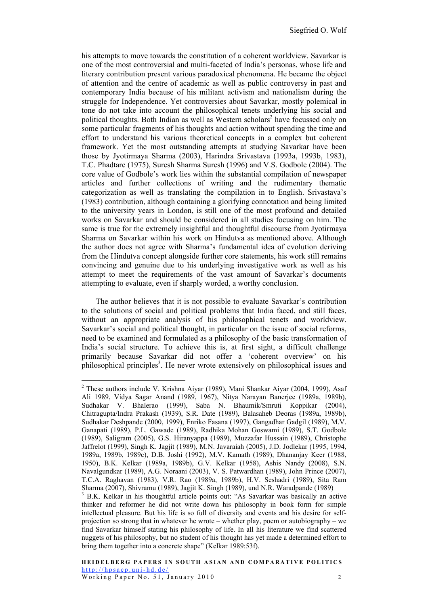his attempts to move towards the constitution of a coherent worldview. Savarkar is one of the most controversial and multi-faceted of India's personas, whose life and literary contribution present various paradoxical phenomena. He became the object of attention and the centre of academic as well as public controversy in past and contemporary India because of his militant activism and nationalism during the struggle for Independence. Yet controversies about Savarkar, mostly polemical in tone do not take into account the philosophical tenets underlying his social and political thoughts. Both Indian as well as Western scholars<sup>2</sup> have focussed only on some particular fragments of his thoughts and action without spending the time and effort to understand his various theoretical concepts in a complex but coherent framework. Yet the most outstanding attempts at studying Savarkar have been those by Jyotirmaya Sharma (2003), Harindra Srivastava (1993a, 1993b, 1983), T.C. Phadtare (1975), Suresh Sharma Suresh (1996) and V.S. Godbole (2004). The core value of Godbole's work lies within the substantial compilation of newspaper articles and further collections of writing and the rudimentary thematic categorization as well as translating the compilation in to English. Srivastava's (1983) contribution, although containing a glorifying connotation and being limited to the university years in London, is still one of the most profound and detailed works on Savarkar and should be considered in all studies focusing on him. The same is true for the extremely insightful and thoughtful discourse from Jyotirmaya Sharma on Savarkar within his work on Hindutva as mentioned above. Although the author does not agree with Sharma's fundamental idea of evolution deriving from the Hindutva concept alongside further core statements, his work still remains convincing and genuine due to his underlying investigative work as well as his attempt to meet the requirements of the vast amount of Savarkar's documents attempting to evaluate, even if sharply worded, a worthy conclusion.

The author believes that it is not possible to evaluate Savarkar's contribution to the solutions of social and political problems that India faced, and still faces, without an appropriate analysis of his philosophical tenets and worldview. Savarkar's social and political thought, in particular on the issue of social reforms, need to be examined and formulated as a philosophy of the basic transformation of India's social structure. To achieve this is, at first sight, a difficult challenge primarily because Savarkar did not offer a 'coherent overview' on his philosophical principles<sup>3</sup>. He never wrote extensively on philosophical issues and

 <sup>2</sup> These authors include V. Krishna Aiyar (1989), Mani Shankar Aiyar (2004, 1999), Asaf Ali 1989, Vidya Sagar Anand (1989, 1967), Nitya Narayan Banerjee (1989a, 1989b), Sudhakar V. Bhalerao (1999), Saba N. Bhaumik/Smruti Koppikar (2004), Chitragupta/Indra Prakash (1939), S.R. Date (1989), Balasaheb Deoras (1989a, 1989b), Sudhakar Deshpande (2000, 1999), Enriko Fasana (1997), Gangadhar Gadgil (1989), M.V. Ganapati (1989), P.L. Gawade (1989), Radhika Mohan Goswami (1989), S.T. Godbole (1989), Saligram (2005), G.S. Hiranyappa (1989), Muzzafar Hussain (1989), Christophe Jaffrelot (1999), Singh K. Jagjit (1989), M.N. Javaraiah (2005), J.D. Jodlekar (1995, 1994, 1989a, 1989b, 1989c), D.B. Joshi (1992), M.V. Kamath (1989), Dhananjay Keer (1988, 1950), B.K. Kelkar (1989a, 1989b), G.V. Kelkar (1958), Ashis Nandy (2008), S.N. Navalgundkar (1989), A.G. Noraani (2003), V. S. Patwardhan (1989), John Prince (2007), T.C.A. Raghavan (1983), V.R. Rao (1989a, 1989b), H.V. Seshadri (1989), Sita Ram Sharma (2007), Shivramu (1989), Jagjit K. Singh (1989), und N.R. Waradpande (1989) <sup>3</sup>

<sup>&</sup>lt;sup>3</sup> B.K. Kelkar in his thoughtful article points out: "As Savarkar was basically an active thinker and reformer he did not write down his philosophy in book form for simple intellectual pleasure. But his life is so full of diversity and events and his desire for selfprojection so strong that in whatever he wrote – whether play, poem or autobiography – we find Savarkar himself stating his philosophy of life. In all his literature we find scattered nuggets of his philosophy, but no student of his thought has yet made a determined effort to bring them together into a concrete shape" (Kelkar 1989:53f).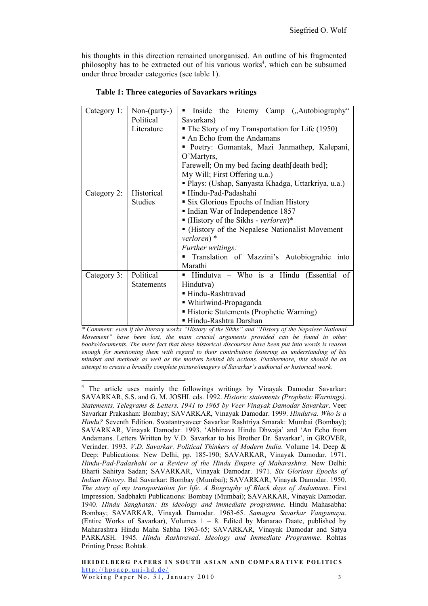his thoughts in this direction remained unorganised. An outline of his fragmented philosophy has to be extracted out of his various works<sup>4</sup>, which can be subsumed under three broader categories (see table 1).

| Category 1: | Non-(party-)      | the Enemy Camp ("Autobiography"<br>Inside<br>٠                 |  |
|-------------|-------------------|----------------------------------------------------------------|--|
|             | Political         | Savarkars)                                                     |  |
|             | Literature        | • The Story of my Transportation for Life (1950)               |  |
|             |                   | An Echo from the Andamans                                      |  |
|             |                   | • Poetry: Gomantak, Mazi Janmathep, Kalepani,                  |  |
|             |                   | O'Martyrs,                                                     |  |
|             |                   | Farewell; On my bed facing death [death bed];                  |  |
|             |                   | My Will; First Offering u.a.)                                  |  |
|             |                   | ■ Plays: (Ushap, Sanyasta Khadga, Uttarkriya, u.a.)            |  |
| Category 2: | Historical        | Hindu-Pad-Padashahi                                            |  |
|             | <b>Studies</b>    | • Six Glorious Epochs of Indian History                        |  |
|             |                   | Indian War of Independence 1857                                |  |
|             |                   | $\blacksquare$ (History of the Sikhs - verloren)*              |  |
|             |                   | $\blacksquare$ (History of the Nepalese Nationalist Movement – |  |
|             |                   | verloren) *                                                    |  |
|             |                   | Further writings:                                              |  |
|             |                   | Translation of Mazzini's Autobiograhie into                    |  |
|             |                   | Marathi                                                        |  |
| Category 3: | Political         | Hindutva - Who is a Hindu (Essential of                        |  |
|             | <b>Statements</b> | Hindutva)                                                      |  |
|             |                   | ■ Hindu-Rashtravad                                             |  |
|             |                   | ■ Whirlwind-Propaganda                                         |  |
|             |                   | Historic Statements (Prophetic Warning)                        |  |
|             |                   | ■ Hindu-Rashtra Darshan                                        |  |

| Table 1: Three categories of Savarkars writings |  |
|-------------------------------------------------|--|
|-------------------------------------------------|--|

*\* Comment: even if the literary works "History of the Sikhs" and "History of the Nepalese National Movement" have been lost, the main crucial arguments provided can be found in other books/documents. The mere fact that these historical discourses have been put into words is reason enough for mentioning them with regard to their contribution fostering an understanding of his mindset and methods as well as the motives behind his actions. Furthermore, this should be an attempt to create a broadly complete picture/imagery of Savarkar's authorial or historical work.*

<sup>&</sup>lt;sup>4</sup> The article uses mainly the followings writings by Vinayak Damodar Savarkar: SAVARKAR, S.S. and G. M. JOSHI. eds. 1992. *Historic statements (Prophetic Warnings). Statements, Telegrams & Letters. 1941 to 1965 by Veer Vinayak Damodar Savarkar*. Veer Savarkar Prakashan: Bombay; SAVARKAR, Vinayak Damodar. 1999. *Hindutva. Who is a Hindu?* Seventh Edition. Swatantryaveer Savarkar Rashtriya Smarak: Mumbai (Bombay); SAVARKAR, Vinayak Damodar. 1993. 'Abhinava Hindu Dhwaja' and 'An Echo from Andamans. Letters Written by V.D. Savarkar to his Brother Dr. Savarkar', in GROVER, Verinder. 1993. *V.D. Savarkar. Political Thinkers of Modern India*. Volume 14. Deep & Deep: Publications: New Delhi, pp. 185-190; SAVARKAR, Vinayak Damodar. 1971. *Hindu-Pad-Padashahi or a Review of the Hindu Empire of Maharashtra*. New Delhi: Bharti Sahitya Sadan; SAVARKAR, Vinayak Damodar. 1971. *Six Glorious Epochs of Indian History*. Bal Savarkar: Bombay (Mumbai); SAVARKAR, Vinayak Damodar. 1950. *The story of my transportation for life. A Biography of Black days of Andamans*. First Impression. Sadbhakti Publications: Bombay (Mumbai); SAVARKAR, Vinayak Damodar. 1940. *Hindu Sanghatan: Its ideology and immediate programme*. Hindu Mahasabha: Bombay; SAVARKAR, Vinayak Damodar. 1963-65. *Samagra Savarkar Vangamaya.* (Entire Works of Savarkar), Volumes 1 – 8. Edited by Manarao Daate, published by Maharashtra Hindu Maha Sabha 1963-65; SAVARKAR, Vinayak Damodar and Satya PARKASH. 1945. *Hindu Rashtravad*. *Ideology and Immediate Programme*. Rohtas Printing Press: Rohtak.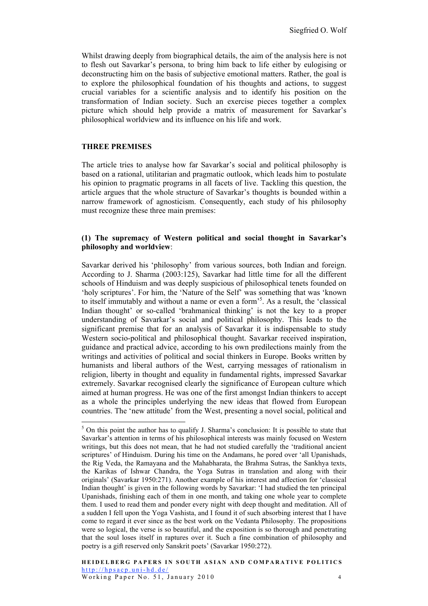Whilst drawing deeply from biographical details, the aim of the analysis here is not to flesh out Savarkar's persona, to bring him back to life either by eulogising or deconstructing him on the basis of subjective emotional matters. Rather, the goal is to explore the philosophical foundation of his thoughts and actions, to suggest crucial variables for a scientific analysis and to identify his position on the transformation of Indian society. Such an exercise pieces together a complex picture which should help provide a matrix of measurement for Savarkar's philosophical worldview and its influence on his life and work.

#### **THREE PREMISES**

The article tries to analyse how far Savarkar's social and political philosophy is based on a rational, utilitarian and pragmatic outlook, which leads him to postulate his opinion to pragmatic programs in all facets of live. Tackling this question, the article argues that the whole structure of Savarkar's thoughts is bounded within a narrow framework of agnosticism. Consequently, each study of his philosophy must recognize these three main premises:

#### **(1) The supremacy of Western political and social thought in Savarkar's philosophy and worldview**:

Savarkar derived his 'philosophy' from various sources, both Indian and foreign. According to J. Sharma (2003:125), Savarkar had little time for all the different schools of Hinduism and was deeply suspicious of philosophical tenets founded on 'holy scriptures'. For him, the 'Nature of the Self' was something that was 'known to itself immutably and without a name or even a form'<sup>5</sup> . As a result, the 'classical Indian thought' or so-called 'brahmanical thinking' is not the key to a proper understanding of Savarkar's social and political philosophy. This leads to the significant premise that for an analysis of Savarkar it is indispensable to study Western socio-political and philosophical thought. Savarkar received inspiration, guidance and practical advice, according to his own predilections mainly from the writings and activities of political and social thinkers in Europe. Books written by humanists and liberal authors of the West, carrying messages of rationalism in religion, liberty in thought and equality in fundamental rights, impressed Savarkar extremely. Savarkar recognised clearly the significance of European culture which aimed at human progress. He was one of the first amongst Indian thinkers to accept as a whole the principles underlying the new ideas that flowed from European countries. The 'new attitude' from the West, presenting a novel social, political and

 <sup>5</sup>  $5$  On this point the author has to qualify J. Sharma's conclusion: It is possible to state that Savarkar's attention in terms of his philosophical interests was mainly focused on Western writings, but this does not mean, that he had not studied carefully the 'traditional ancient scriptures' of Hinduism. During his time on the Andamans, he pored over 'all Upanishads, the Rig Veda, the Ramayana and the Mahabharata, the Brahma Sutras, the Sankhya texts, the Karikas of Ishwar Chandra, the Yoga Sutras in translation and along with their originals' (Savarkar 1950:271). Another example of his interest and affection for 'classical Indian thought' is given in the following words by Savarkar: 'I had studied the ten principal Upanishads, finishing each of them in one month, and taking one whole year to complete them. I used to read them and ponder every night with deep thought and meditation. All of a sudden I fell upon the Yoga Vashista, and I found it of such absorbing interest that I have come to regard it ever since as the best work on the Vedanta Philosophy. The propositions were so logical, the verse is so beautiful, and the exposition is so thorough and penetrating that the soul loses itself in raptures over it. Such a fine combination of philosophy and poetry is a gift reserved only Sanskrit poets' (Savarkar 1950:272).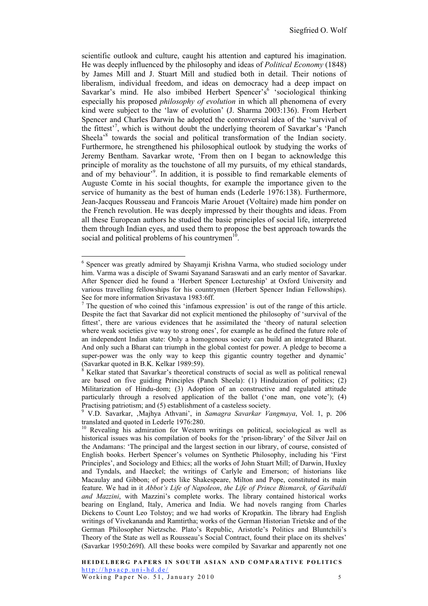scientific outlook and culture, caught his attention and captured his imagination. He was deeply influenced by the philosophy and ideas of *Political Economy* (1848) by James Mill and J. Stuart Mill and studied both in detail. Their notions of liberalism, individual freedom, and ideas on democracy had a deep impact on Savarkar's mind. He also imbibed Herbert Spencer's<sup>6</sup> 'sociological thinking especially his proposed *philosophy of evolution* in which all phenomena of every kind were subject to the 'law of evolution' (J. Sharma 2003:136). From Herbert Spencer and Charles Darwin he adopted the controversial idea of the 'survival of the fittest'<sup>7</sup>, which is without doubt the underlying theorem of Savarkar's 'Panch Sheela<sup>38</sup> towards the social and political transformation of the Indian society. Furthermore, he strengthened his philosophical outlook by studying the works of Jeremy Bentham. Savarkar wrote, 'From then on I began to acknowledge this principle of morality as the touchstone of all my pursuits, of my ethical standards, and of my behaviour<sup>39</sup>. In addition, it is possible to find remarkable elements of Auguste Comte in his social thoughts, for example the importance given to the service of humanity as the best of human ends (Lederle 1976:138). Furthermore, Jean-Jacques Rousseau and Francois Marie Arouet (Voltaire) made him ponder on the French revolution. He was deeply impressed by their thoughts and ideas. From all these European authors he studied the basic principles of social life, interpreted them through Indian eyes, and used them to propose the best approach towards the social and political problems of his countrymen $10$ 

 <sup>6</sup> <sup>6</sup> Spencer was greatly admired by Shayamji Krishna Varma, who studied sociology under him. Varma was a disciple of Swami Sayanand Saraswati and an early mentor of Savarkar. After Spencer died he found a 'Herbert Spencer Lectureship' at Oxford University and various travelling fellowships for his countrymen (Herbert Spencer Indian Fellowships). See for more information Srivastava 1983:6ff.

 $\frac{7}{1}$  The question of who coined this 'infamous expression' is out of the range of this article. Despite the fact that Savarkar did not explicit mentioned the philosophy of 'survival of the fittest', there are various evidences that he assimilated the 'theory of natural selection where weak societies give way to strong ones', for example as he defined the future role of an independent Indian state: Only a homogenous society can build an integrated Bharat. And only such a Bharat can triumph in the global contest for power. A pledge to become a super-power was the only way to keep this gigantic country together and dynamic' (Savarkar quoted in B.K. Kelkar 1989:59).

<sup>8</sup> Kelkar stated that Savarkar's theoretical constructs of social as well as political renewal are based on five guiding Principles (Panch Sheela): (1) Hinduization of politics; (2) Militarization of Hindu-dom; (3) Adoption of an constructive and regulated attitude particularly through a resolved application of the ballot ('one man, one vote'); (4) Practising patriotism; and (5) establishment of a casteless society.

<sup>9</sup> V.D. Savarkar, 'Majhya Athvani', in *Samagra Savarkar Vangmaya*, Vol. 1, p. 206 translated and quoted in Lederle 1976:280.

<sup>&</sup>lt;sup>10</sup> Revealing his admiration for Western writings on political, sociological as well as historical issues was his compilation of books for the 'prison-library' of the Silver Jail on the Andamans: 'The principal and the largest section in our library, of course, consisted of English books. Herbert Spencer's volumes on Synthetic Philosophy, including his 'First Principles', and Sociology and Ethics; all the works of John Stuart Mill; of Darwin, Huxley and Tyndals, and Haeckel; the writings of Carlyle and Emerson; of historians like Macaulay and Gibbon; of poets like Shakespeare, Milton and Pope, constituted its main feature. We had in it *Abbot's Life of Napoleon*, *the Life of Prince Bismarck, of Garibaldi and Mazzini*, with Mazzini's complete works. The library contained historical works bearing on England, Italy, America and India. We had novels ranging from Charles Dickens to Count Leo Tolstoy; and we had works of Kropatkin. The library had English writings of Vivekananda and Ramtirtha; works of the German Historian Trietske and of the German Philosopher Nietzsche. Plato's Republic, Aristotle's Politics and Bluntchili's Theory of the State as well as Rousseau's Social Contract, found their place on its shelves' (Savarkar 1950:269f). All these books were compiled by Savarkar and apparently not one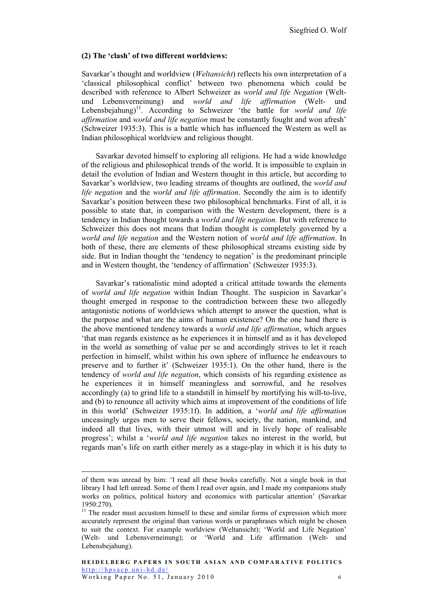#### **(2) The 'clash' of two different worldviews:**

Savarkar's thought and worldview (*Weltansicht*) reflects his own interpretation of a 'classical philosophical conflict' between two phenomena which could be described with reference to Albert Schweizer as *world and life Negation* (Weltund Lebensverneinung) and *world and life affirmation* (Welt- und Lebensbejahung)<sup>11</sup>. According to Schweizer 'the battle for *world and life affirmation* and *world and life negation* must be constantly fought and won afresh' (Schweizer 1935:3). This is a battle which has influenced the Western as well as Indian philosophical worldview and religious thought.

Savarkar devoted himself to exploring all religions. He had a wide knowledge of the religious and philosophical trends of the world. It is impossible to explain in detail the evolution of Indian and Western thought in this article, but according to Savarkar's worldview, two leading streams of thoughts are outlined, the *world and life negation* and the *world and life affirmation*. Secondly the aim is to identify Savarkar's position between these two philosophical benchmarks. First of all, it is possible to state that, in comparison with the Western development, there is a tendency in Indian thought towards a *world and life negation.* But with reference to Schweizer this does not means that Indian thought is completely governed by a *world and life negation* and the Western notion of *world and life affirmation*. In both of these, there are elements of these philosophical streams existing side by side. But in Indian thought the 'tendency to negation' is the predominant principle and in Western thought, the 'tendency of affirmation' (Schweizer 1935:3).

Savarkar's rationalistic mind adopted a critical attitude towards the elements of *world and life negation* within Indian Thought. The suspicion in Savarkar's thought emerged in response to the contradiction between these two allegedly antagonistic notions of worldviews which attempt to answer the question, what is the purpose and what are the aims of human existence? On the one hand there is the above mentioned tendency towards a *world and life affirmation*, which argues 'that man regards existence as he experiences it in himself and as it has developed in the world as something of value per se and accordingly strives to let it reach perfection in himself, whilst within his own sphere of influence he endeavours to preserve and to further it' (Schweizer 1935:1). On the other hand, there is the tendency of *world and life negation*, which consists of his regarding existence as he experiences it in himself meaningless and sorrowful, and he resolves accordingly (a) to grind life to a standstill in himself by mortifying his will-to-live, and (b) to renounce all activity which aims at improvement of the conditions of life in this world' (Schweizer 1935:1f). In addition, a '*world and life affirmation* unceasingly urges men to serve their fellows, society, the nation, mankind, and indeed all that lives, with their utmost will and in lively hope of realisable progress'; whilst a '*world and life negation* takes no interest in the world, but regards man's life on earth either merely as a stage-play in which it is his duty to

of them was unread by him: 'I read all these books carefully. Not a single book in that library I had left unread. Some of them I read over again, and I made my companions study works on politics, political history and economics with particular attention' (Savarkar 1950:270).

 $11$  The reader must accustom himself to these and similar forms of expression which more accurately represent the original than various words or paraphrases which might be chosen to suit the context. For example worldview (Weltansicht); 'World and Life Negation' (Welt- und Lebensverneinung); or 'World and Life affirmation (Welt- und Lebensbejahung).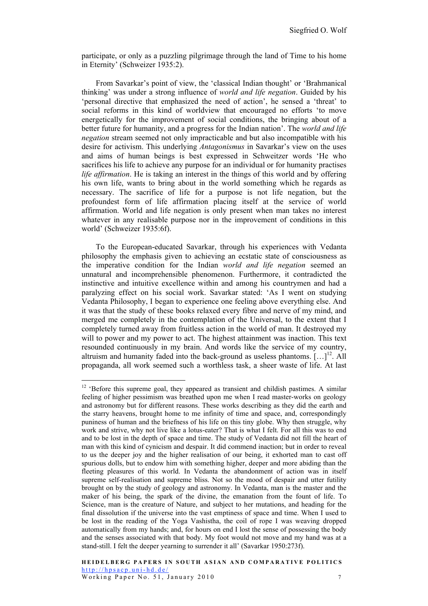participate, or only as a puzzling pilgrimage through the land of Time to his home in Eternity' (Schweizer 1935:2).

From Savarkar's point of view, the 'classical Indian thought' or 'Brahmanical thinking' was under a strong influence of *world and life negation*. Guided by his 'personal directive that emphasized the need of action', he sensed a 'threat' to social reforms in this kind of worldview that encouraged no efforts 'to move energetically for the improvement of social conditions, the bringing about of a better future for humanity, and a progress for the Indian nation'. The *world and life negation* stream seemed not only impracticable and but also incompatible with his desire for activism. This underlying *Antagonismus* in Savarkar's view on the uses and aims of human beings is best expressed in Schweitzer words 'He who sacrifices his life to achieve any purpose for an individual or for humanity practises *life affirmation*. He is taking an interest in the things of this world and by offering his own life, wants to bring about in the world something which he regards as necessary. The sacrifice of life for a purpose is not life negation, but the profoundest form of life affirmation placing itself at the service of world affirmation. World and life negation is only present when man takes no interest whatever in any realisable purpose nor in the improvement of conditions in this world' (Schweizer 1935:6f).

To the European-educated Savarkar, through his experiences with Vedanta philosophy the emphasis given to achieving an ecstatic state of consciousness as the imperative condition for the Indian *world and life negation* seemed an unnatural and incomprehensible phenomenon. Furthermore, it contradicted the instinctive and intuitive excellence within and among his countrymen and had a paralyzing effect on his social work. Savarkar stated: 'As I went on studying Vedanta Philosophy, I began to experience one feeling above everything else. And it was that the study of these books relaxed every fibre and nerve of my mind, and merged me completely in the contemplation of the Universal, to the extent that I completely turned away from fruitless action in the world of man. It destroyed my will to power and my power to act. The highest attainment was inaction. This text resounded continuously in my brain. And words like the service of my country, altruism and humanity faded into the back-ground as useless phantoms.  $[\dots]^{12}$ . All propaganda, all work seemed such a worthless task, a sheer waste of life. At last

<sup>&</sup>lt;sup>12</sup> 'Before this supreme goal, they appeared as transient and childish pastimes. A similar feeling of higher pessimism was breathed upon me when I read master-works on geology and astronomy but for different reasons. These works describing as they did the earth and the starry heavens, brought home to me infinity of time and space, and, correspondingly puniness of human and the briefness of his life on this tiny globe. Why then struggle, why work and strive, why not live like a lotus-eater? That is what I felt. For all this was to end and to be lost in the depth of space and time. The study of Vedanta did not fill the heart of man with this kind of cynicism and despair. It did commend inaction; but in order to reveal to us the deeper joy and the higher realisation of our being, it exhorted man to cast off spurious dolls, but to endow him with something higher, deeper and more abiding than the fleeting pleasures of this world. In Vedanta the abandonment of action was in itself supreme self-realisation and supreme bliss. Not so the mood of despair and utter futility brought on by the study of geology and astronomy. In Vedanta, man is the master and the maker of his being, the spark of the divine, the emanation from the fount of life. To Science, man is the creature of Nature, and subject to her mutations, and heading for the final dissolution if the universe into the vast emptiness of space and time. When I used to be lost in the reading of the Yoga Vashistha, the coil of rope I was weaving dropped automatically from my hands; and, for hours on end I lost the sense of possessing the body and the senses associated with that body. My foot would not move and my hand was at a stand-still. I felt the deeper yearning to surrender it all' (Savarkar 1950:273f).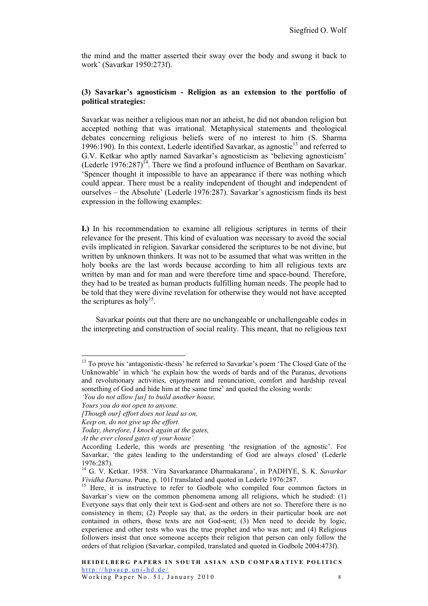the mind and the matter asserted their sway over the body and swung it back to work' (Savarkar 1950:273f).

#### **(3) Savarkar's agnosticism - Religion as an extension to the portfolio of political strategies:**

Savarkar was neither a religious man nor an atheist, he did not abandon religion but accepted nothing that was irrational. Metaphysical statements and theological debates concerning religious beliefs were of no interest to him (S. Sharma 1996:190). In this context, Lederle identified Savarkar, as agnostic<sup>13</sup> and referred to G.V. Ketkar who aptly named Savarkar's agnosticism as 'believing agnosticism' (Lederle 1976:287) $^{14}$ . There we find a profound influence of Bentham on Savarkar. 'Spencer thought it impossible to have an appearance if there was nothing which could appear. There must be a reality independent of thought and independent of ourselves – the Absolute' (Lederle 1976:287). Savarkar's agnosticism finds its best expression in the following examples:

**I.)** In his recommendation to examine all religious scriptures in terms of their relevance for the present. This kind of evaluation was necessary to avoid the social evils implicated in religion. Savarkar considered the scriptures to be not divine, but written by unknown thinkers. It was not to be assumed that what was written in the holy books are the last words because according to him all religious texts are written by man and for man and were therefore time and space-bound. Therefore, they had to be treated as human products fulfilling human needs. The people had to be told that they were divine revelation for otherwise they would not have accepted the scriptures as holy<sup>15</sup>.

Savarkar points out that there are no unchangeable or unchallengeable codes in the interpreting and construction of social reality. This meant, that no religious text

*At the ever closed gates of your house'.*

<sup>&</sup>lt;sup>13</sup> To prove his 'antagonistic-thesis' he referred to Savarkar's poem 'The Closed Gate of the Unknowable' in which 'he explain how the words of bards and of the Puranas, devotions and revolutionary activities, enjoyment and renunciation, comfort and hardship reveal something of God and hide him at the same time' and quoted the closing words:

*<sup>&#</sup>x27;You do not allow [us] to build another house,*

*Yours you do not open to anyone.*

*<sup>[</sup>Though our] effort does not lead us on,*

*Keep on, do not give up the effort.*

*Today, therefore, I knock again at the gates,*

According Lederle, this words are presenting 'the resignation of the agnostic'. For Savarkar, 'the gates leading to the understanding of God are always closed' (Lederle 1976:287).

<sup>14</sup> G. V. Ketkar. 1958. 'Vira Savarkarance Dharmakarana', in PADHYE, S. K. *Savarkar Vividha Darsana*. Pune, p. 101f translated and quoted in Lederle 1976:287.<br><sup>15</sup> Here, it is instructive to refer to Godbole who compiled four common factors in

Savarkar's view on the common phenomena among all religions, which he studied: (1) Everyone says that only their text is God-sent and others are not so. Therefore there is no consistency in them; (2) People say that, as the orders in their particular book are not contained in others, those texts are not God-sent; (3) Men need to decide by logic, experience and other tests who was the true prophet and who was not; and (4) Religious followers insist that once someone accepts their religion that person can only follow the orders of that religion (Savarkar, compiled, translated and quoted in Godbole 2004:473f).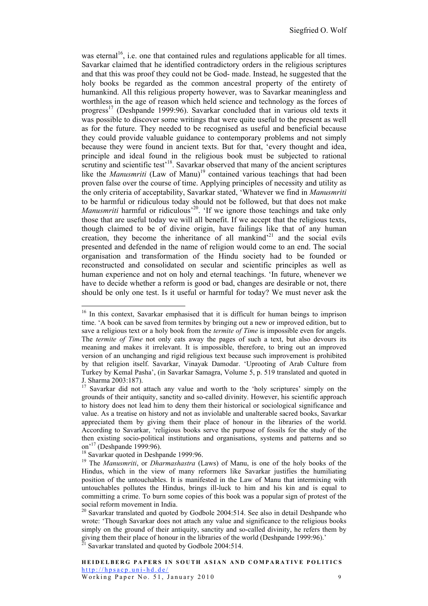was eternal<sup>16</sup>, i.e. one that contained rules and regulations applicable for all times. Savarkar claimed that he identified contradictory orders in the religious scriptures and that this was proof they could not be God- made. Instead, he suggested that the holy books be regarded as the common ancestral property of the entirety of humankind. All this religious property however, was to Savarkar meaningless and worthless in the age of reason which held science and technology as the forces of progress17 (Deshpande 1999:96). Savarkar concluded that in various old texts it was possible to discover some writings that were quite useful to the present as well as for the future. They needed to be recognised as useful and beneficial because they could provide valuable guidance to contemporary problems and not simply because they were found in ancient texts. But for that, 'every thought and idea, principle and ideal found in the religious book must be subjected to rational scrutiny and scientific test<sup>18</sup>. Savarkar observed that many of the ancient scriptures like the *Manusmriti* (Law of Manu)<sup>19</sup> contained various teachings that had been proven false over the course of time. Applying principles of necessity and utility as the only criteria of acceptability, Savarkar stated, 'Whatever we find in *Manusmriti* to be harmful or ridiculous today should not be followed, but that does not make *Manusmriti* harmful or ridiculous<sup>'20</sup>. 'If we ignore those teachings and take only those that are useful today we will all benefit. If we accept that the religious texts, though claimed to be of divine origin, have failings like that of any human creation, they become the inheritance of all mankind $^{21}$  and the social evils presented and defended in the name of religion would come to an end. The social organisation and transformation of the Hindu society had to be founded or reconstructed and consolidated on secular and scientific principles as well as human experience and not on holy and eternal teachings. 'In future, whenever we have to decide whether a reform is good or bad, changes are desirable or not, there should be only one test. Is it useful or harmful for today? We must never ask the

<sup>&</sup>lt;sup>16</sup> In this context, Savarkar emphasised that it is difficult for human beings to imprison time. 'A book can be saved from termites by bringing out a new or improved edition, but to save a religious text or a holy book from the *termite of Time* is impossible even for angels. The *termite of Time* not only eats away the pages of such a text, but also devours its meaning and makes it irrelevant. It is impossible, therefore, to bring out an improved version of an unchanging and rigid religious text because such improvement is prohibited by that religion itself. Savarkar, Vinayak Damodar. 'Uprooting of Arab Culture from Turkey by Kemal Pasha', (in Savarkar Samagra, Volume 5, p. 519 translated and quoted in J. Sharma 2003:187).

<sup>&</sup>lt;sup>17</sup> Savarkar did not attach any value and worth to the 'holy scriptures' simply on the grounds of their antiquity, sanctity and so-called divinity. However, his scientific approach to history does not lead him to deny them their historical or sociological significance and value. As a treatise on history and not as inviolable and unalterable sacred books, Savarkar appreciated them by giving them their place of honour in the libraries of the world. According to Savarkar, 'religious books serve the purpose of fossils for the study of the then existing socio-political institutions and organisations, systems and patterns and so on<sup>'17</sup> (Deshpande 1999:96).<br><sup>18</sup> Savarkar quoted in Deshpande 1999:96.

<sup>19</sup> The *Manusmriti*, or *Dharmashastra* (Laws) of Manu, is one of the holy books of the Hindus, which in the view of many reformers like Savarkar justifies the humiliating position of the untouchables. It is manifested in the Law of Manu that intermixing with untouchables pollutes the Hindus, brings ill-luck to him and his kin and is equal to committing a crime. To burn some copies of this book was a popular sign of protest of the social reform movement in India.

<sup>&</sup>lt;sup>20</sup> Savarkar translated and quoted by Godbole 2004:514. See also in detail Deshpande who wrote: 'Though Savarkar does not attach any value and significance to the religious books simply on the ground of their antiquity, sanctity and so-called divinity, he refers them by giving them their place of honour in the libraries of the world (Deshpande 1999:96).<sup>21</sup> Savarkar translated and quoted by Godbole 2004:514.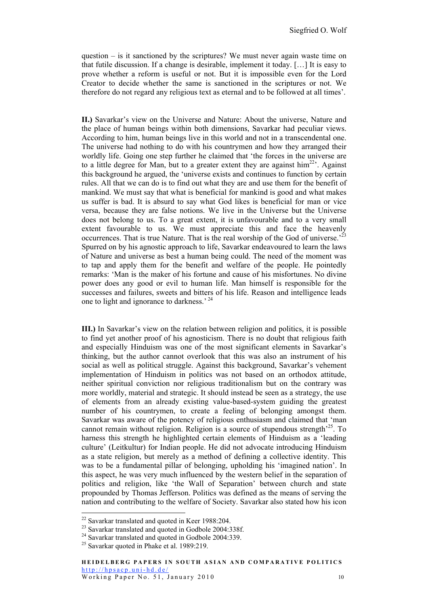question  $-$  is it sanctioned by the scriptures? We must never again waste time on that futile discussion. If a change is desirable, implement it today. […] It is easy to prove whether a reform is useful or not. But it is impossible even for the Lord Creator to decide whether the same is sanctioned in the scriptures or not. We therefore do not regard any religious text as eternal and to be followed at all times'.

**II.)** Savarkar's view on the Universe and Nature: About the universe, Nature and the place of human beings within both dimensions, Savarkar had peculiar views. According to him, human beings live in this world and not in a transcendental one. The universe had nothing to do with his countrymen and how they arranged their worldly life. Going one step further he claimed that 'the forces in the universe are to a little degree for Man, but to a greater extent they are against  $\lim^{22}$ . Against this background he argued, the 'universe exists and continues to function by certain rules. All that we can do is to find out what they are and use them for the benefit of mankind. We must say that what is beneficial for mankind is good and what makes us suffer is bad. It is absurd to say what God likes is beneficial for man or vice versa, because they are false notions. We live in the Universe but the Universe does not belong to us. To a great extent, it is unfavourable and to a very small extent favourable to us. We must appreciate this and face the heavenly occurrences. That is true Nature. That is the real worship of the God of universe.<sup>23</sup> Spurred on by his agnostic approach to life, Savarkar endeavoured to learn the laws of Nature and universe as best a human being could. The need of the moment was to tap and apply them for the benefit and welfare of the people. He pointedly remarks: 'Man is the maker of his fortune and cause of his misfortunes. No divine power does any good or evil to human life. Man himself is responsible for the successes and failures, sweets and bitters of his life. Reason and intelligence leads one to light and ignorance to darkness.<sup>'24</sup>

**III.)** In Savarkar's view on the relation between religion and politics, it is possible to find yet another proof of his agnosticism. There is no doubt that religious faith and especially Hinduism was one of the most significant elements in Savarkar's thinking, but the author cannot overlook that this was also an instrument of his social as well as political struggle. Against this background, Savarkar's vehement implementation of Hinduism in politics was not based on an orthodox attitude, neither spiritual conviction nor religious traditionalism but on the contrary was more worldly, material and strategic. It should instead be seen as a strategy, the use of elements from an already existing value-based-system guiding the greatest number of his countrymen, to create a feeling of belonging amongst them. Savarkar was aware of the potency of religious enthusiasm and claimed that 'man cannot remain without religion. Religion is a source of stupendous strength<sup> $25$ </sup>. To harness this strength he highlighted certain elements of Hinduism as a 'leading culture' (Leitkultur) for Indian people. He did not advocate introducing Hinduism as a state religion, but merely as a method of defining a collective identity. This was to be a fundamental pillar of belonging, upholding his 'imagined nation'. In this aspect, he was very much influenced by the western belief in the separation of politics and religion, like 'the Wall of Separation' between church and state propounded by Thomas Jefferson. Politics was defined as the means of serving the nation and contributing to the welfare of Society. Savarkar also stated how his icon

<sup>&</sup>lt;sup>22</sup> Savarkar translated and quoted in Keer 1988:204.

<sup>&</sup>lt;sup>23</sup> Savarkar translated and quoted in Godbole 2004:338f.

<sup>&</sup>lt;sup>24</sup> Savarkar translated and quoted in Godbole 2004:339.

<sup>&</sup>lt;sup>25</sup> Savarkar quoted in Phake et al. 1989:219.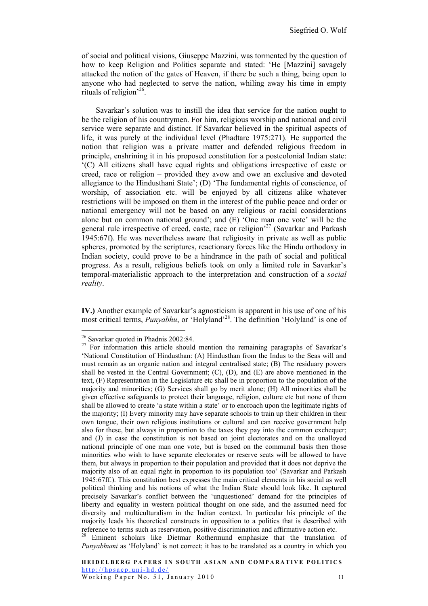of social and political visions, Giuseppe Mazzini, was tormented by the question of how to keep Religion and Politics separate and stated: 'He [Mazzini] savagely attacked the notion of the gates of Heaven, if there be such a thing, being open to anyone who had neglected to serve the nation, whiling away his time in empty rituals of religion'26.

Savarkar's solution was to instill the idea that service for the nation ought to be the religion of his countrymen. For him, religious worship and national and civil service were separate and distinct. If Savarkar believed in the spiritual aspects of life, it was purely at the individual level (Phadtare 1975:271). He supported the notion that religion was a private matter and defended religious freedom in principle, enshrining it in his proposed constitution for a postcolonial Indian state: '(C) All citizens shall have equal rights and obligations irrespective of caste or creed, race or religion – provided they avow and owe an exclusive and devoted allegiance to the Hindusthani State'; (D) 'The fundamental rights of conscience, of worship, of association etc. will be enjoyed by all citizens alike whatever restrictions will be imposed on them in the interest of the public peace and order or national emergency will not be based on any religious or racial considerations alone but on common national ground'; and (E) 'One man one vote' will be the general rule irrespective of creed, caste, race or religion<sup>27</sup> (Savarkar and Parkash 1945:67f). He was nevertheless aware that religiosity in private as well as public spheres, promoted by the scriptures, reactionary forces like the Hindu orthodoxy in Indian society, could prove to be a hindrance in the path of social and political progress. As a result, religious beliefs took on only a limited role in Savarkar's temporal-materialistic approach to the interpretation and construction of a *social reality*.

**IV.)** Another example of Savarkar's agnosticism is apparent in his use of one of his most critical terms, *Punyabhu*, or 'Holyland'<sup>28</sup>. The definition 'Holyland' is one of

 <sup>26</sup> Savarkar quoted in Phadnis 2002:84.

<sup>&</sup>lt;sup>27</sup> For information this article should mention the remaining paragraphs of Savarkar's 'National Constitution of Hindusthan: (A) Hindusthan from the Indus to the Seas will and must remain as an organic nation and integral centralised state; (B) The residuary powers shall be vested in the Central Government;  $(C)$ ,  $(D)$ , and  $(E)$  are above mentioned in the text, (F) Representation in the Legislature etc shall be in proportion to the population of the majority and minorities; (G) Services shall go by merit alone; (H) All minorities shall be given effective safeguards to protect their language, religion, culture etc but none of them shall be allowed to create 'a state within a state' or to encroach upon the legitimate rights of the majority; (I) Every minority may have separate schools to train up their children in their own tongue, their own religious institutions or cultural and can receive government help also for these, but always in proportion to the taxes they pay into the common exchequer; and (J) in case the constitution is not based on joint electorates and on the unalloyed national principle of one man one vote, but is based on the communal basis then those minorities who wish to have separate electorates or reserve seats will be allowed to have them, but always in proportion to their population and provided that it does not deprive the majority also of an equal right in proportion to its population too' (Savarkar and Parkash 1945:67ff.). This constitution best expresses the main critical elements in his social as well political thinking and his notions of what the Indian State should look like. It captured precisely Savarkar's conflict between the 'unquestioned' demand for the principles of liberty and equality in western political thought on one side, and the assumed need for diversity and multiculturalism in the Indian context. In particular his principle of the majority leads his theoretical constructs in opposition to a politics that is described with reference to terms such as reservation, positive discrimination and affirmative action etc.

<sup>&</sup>lt;sup>28</sup> Eminent scholars like Dietmar Rothermund emphasize that the translation of *Punyabhumi* as 'Holyland' is not correct; it has to be translated as a country in which you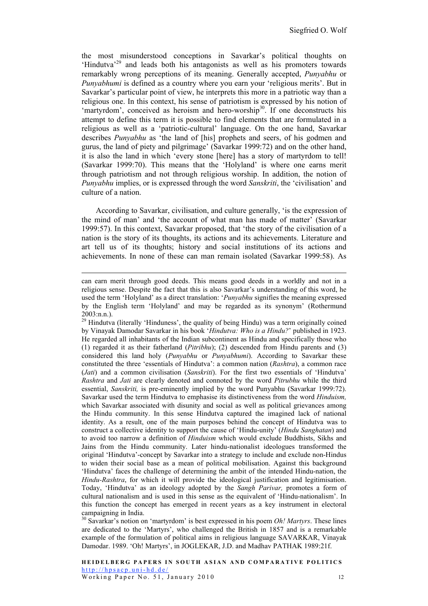the most misunderstood conceptions in Savarkar's political thoughts on 'Hindutva<sup>229</sup> and leads both his antagonists as well as his promoters towards remarkably wrong perceptions of its meaning. Generally accepted, *Punyabhu* or *Punyabhumi* is defined as a country where you earn your 'religious merits'. But in Savarkar's particular point of view, he interprets this more in a patriotic way than a religious one. In this context, his sense of patriotism is expressed by his notion of 'martyrdom', conceived as heroism and hero-worship<sup>30</sup>. If one deconstructs his attempt to define this term it is possible to find elements that are formulated in a religious as well as a 'patriotic-cultural' language. On the one hand, Savarkar describes *Punyabhu* as 'the land of [his] prophets and seers, of his godmen and gurus, the land of piety and pilgrimage' (Savarkar 1999:72) and on the other hand, it is also the land in which 'every stone [here] has a story of martyrdom to tell! (Savarkar 1999:70). This means that the 'Holyland' is where one earns merit through patriotism and not through religious worship. In addition, the notion of *Punyabhu* implies, or is expressed through the word *Sanskriti*, the 'civilisation' and culture of a nation.

According to Savarkar, civilisation, and culture generally, 'is the expression of the mind of man' and 'the account of what man has made of matter' (Savarkar 1999:57). In this context, Savarkar proposed, that 'the story of the civilisation of a nation is the story of its thoughts, its actions and its achievements. Literature and art tell us of its thoughts; history and social institutions of its actions and achievements. In none of these can man remain isolated (Savarkar 1999:58). As

can earn merit through good deeds. This means good deeds in a worldly and not in a religious sense. Despite the fact that this is also Savarkar's understanding of this word, he used the term 'Holyland' as a direct translation: '*Punyabhu* signifies the meaning expressed by the English term 'Holyland' and may be regarded as its synonym' (Rothermund 2003:n.n.).

<sup>&</sup>lt;sup>29</sup> Hindutva (literally 'Hinduness', the quality of being Hindu) was a term originally coined by Vinayak Damodar Savarkar in his book '*Hindutva: Who is a Hindu?*' published in 1923. He regarded all inhabitants of the Indian subcontinent as Hindu and specifically those who (1) regarded it as their fatherland (*Pitribhu*); (2) descended from Hindu parents and (3) considered this land holy (*Punyabhu* or *Punyabhumi*). According to Savarkar these constituted the three 'essentials of Hindutva': a common nation (*Rashtra*), a common race (*Jati*) and a common civilisation (*Sanskriti*). For the first two essentials of 'Hindutva' *Rashtra* and *Jati* are clearly denoted and connoted by the word *Pitrubhu* while the third essential, *Sanskriti,* is pre-eminently implied by the word Punyabhu (Savarkar 1999:72). Savarkar used the term Hindutva to emphasise its distinctiveness from the word *Hinduism,* which Savarkar associated with disunity and social as well as political grievances among the Hindu community. In this sense Hindutva captured the imagined lack of national identity. As a result, one of the main purposes behind the concept of Hindutva was to construct a collective identity to support the cause of 'Hindu-unity' (*Hindu Sanghatan*) and to avoid too narrow a definition of *Hinduism* which would exclude Buddhists, Sikhs and Jains from the Hindu community. Later hindu-nationalist ideologues transformed the original 'Hindutva'-concept by Savarkar into a strategy to include and exclude non-Hindus to widen their social base as a mean of political mobilisation. Against this background 'Hindutva' faces the challenge of determining the ambit of the intended Hindu-nation, the *Hindu-Rashtra*, for which it will provide the ideological justification and legitimisation. Today, 'Hindutva' as an ideology adopted by the *Sangh Parivar,* promotes a form of cultural nationalism and is used in this sense as the equivalent of 'Hindu-nationalism'. In this function the concept has emerged in recent years as a key instrument in electoral campaigning in India.

<sup>&</sup>lt;sup>30</sup> Savarkar's notion on 'martyrdom' is best expressed in his poem *Oh! Martyrs*. These lines are dedicated to the 'Martyrs', who challenged the British in 1857 and is a remarkable example of the formulation of political aims in religious language SAVARKAR, Vinayak Damodar. 1989. 'Oh! Martyrs', in JOGLEKAR, J.D. and Madhav PATHAK 1989:21f.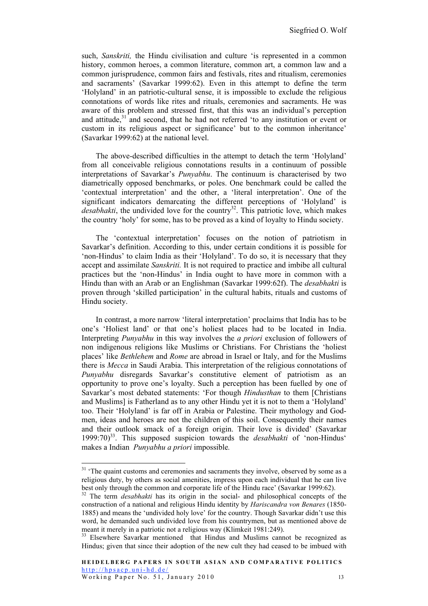such, *Sanskriti*, the Hindu civilisation and culture 'is represented in a common history, common heroes, a common literature, common art, a common law and a common jurisprudence, common fairs and festivals, rites and ritualism, ceremonies and sacraments' (Savarkar 1999:62). Even in this attempt to define the term 'Holyland' in an patriotic-cultural sense, it is impossible to exclude the religious connotations of words like rites and rituals, ceremonies and sacraments. He was aware of this problem and stressed first, that this was an individual's perception and attitude, $31$  and second, that he had not referred 'to any institution or event or custom in its religious aspect or significance' but to the common inheritance' (Savarkar 1999:62) at the national level.

The above-described difficulties in the attempt to detach the term 'Holyland' from all conceivable religious connotations results in a continuum of possible interpretations of Savarkar's *Punyabhu*. The continuum is characterised by two diametrically opposed benchmarks, or poles. One benchmark could be called the 'contextual interpretation' and the other, a 'literal interpretation'. One of the significant indicators demarcating the different perceptions of 'Holyland' is *desabhakti*, the undivided love for the country<sup>32</sup>. This patriotic love, which makes the country 'holy' for some, has to be proved as a kind of loyalty to Hindu society.

The 'contextual interpretation' focuses on the notion of patriotism in Savarkar's definition. According to this, under certain conditions it is possible for 'non-Hindus' to claim India as their 'Holyland'. To do so, it is necessary that they accept and assimilate *Sanskriti.* It is not required to practice and imbibe all cultural practices but the 'non-Hindus' in India ought to have more in common with a Hindu than with an Arab or an Englishman (Savarkar 1999:62f). The *desabhakti* is proven through 'skilled participation' in the cultural habits, rituals and customs of Hindu society.

In contrast, a more narrow 'literal interpretation' proclaims that India has to be one's 'Holiest land' or that one's holiest places had to be located in India. Interpreting *Punyabhu* in this way involves the *a priori* exclusion of followers of non indigenous religions like Muslims or Christians. For Christians the 'holiest places' like *Bethlehem* and *Rome* are abroad in Israel or Italy, and for the Muslims there is *Mecca* in Saudi Arabia. This interpretation of the religious connotations of *Punyabhu* disregards Savarkar's constitutive element of patriotism as an opportunity to prove one's loyalty. Such a perception has been fuelled by one of Savarkar's most debated statements: 'For though *Hindusthan* to them [Christians and Muslims] is Fatherland as to any other Hindu yet it is not to them a 'Holyland' too. Their 'Holyland' is far off in Arabia or Palestine. Their mythology and Godmen, ideas and heroes are not the children of this soil. Consequently their names and their outlook smack of a foreign origin. Their love is divided' (Savarkar 1999:70)33. This supposed suspicion towards the *desabhakti* of 'non-Hindus' makes a Indian *Punyabhu a priori* impossible*.*

<sup>&</sup>lt;sup>31</sup> 'The quaint customs and ceremonies and sacraments they involve, observed by some as a religious duty, by others as social amenities, impress upon each individual that he can live best only through the common and corporate life of the Hindu race' (Savarkar 1999:62).

<sup>&</sup>lt;sup>32</sup> The term *desabhakti* has its origin in the social- and philosophical concepts of the construction of a national and religious Hindu identity by *Hariscandra von Benares* (1850- 1885) and means the 'undivided holy love' for the country. Though Savarkar didn't use this word, he demanded such undivided love from his countrymen, but as mentioned above de meant it merely in a patriotic not a religious way (Klimkeit 1981:249).<br><sup>33</sup> Elsewhere Savarkar mentioned that Hindus and Muslims cannot be recognized as

Hindus; given that since their adoption of the new cult they had ceased to be imbued with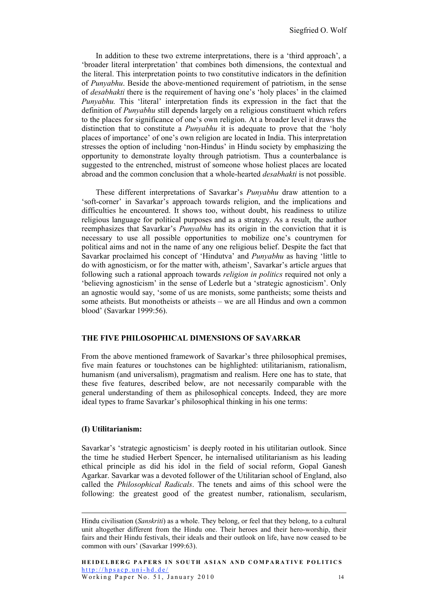In addition to these two extreme interpretations, there is a 'third approach', a 'broader literal interpretation' that combines both dimensions, the contextual and the literal. This interpretation points to two constitutive indicators in the definition of *Punyabhu*. Beside the above-mentioned requirement of patriotism, in the sense of *desabhakti* there is the requirement of having one's 'holy places' in the claimed *Punyabhu.* This 'literal' interpretation finds its expression in the fact that the definition of *Punyabhu* still depends largely on a religious constituent which refers to the places for significance of one's own religion. At a broader level it draws the distinction that to constitute a *Punyabhu* it is adequate to prove that the 'holy places of importance' of one's own religion are located in India. This interpretation stresses the option of including 'non-Hindus' in Hindu society by emphasizing the opportunity to demonstrate loyalty through patriotism. Thus a counterbalance is suggested to the entrenched, mistrust of someone whose holiest places are located abroad and the common conclusion that a whole-hearted *desabhakti* is not possible.

These different interpretations of Savarkar's *Punyabhu* draw attention to a 'soft-corner' in Savarkar's approach towards religion, and the implications and difficulties he encountered. It shows too, without doubt, his readiness to utilize religious language for political purposes and as a strategy. As a result, the author reemphasizes that Savarkar's *Punyabhu* has its origin in the conviction that it is necessary to use all possible opportunities to mobilize one's countrymen for political aims and not in the name of any one religious belief. Despite the fact that Savarkar proclaimed his concept of 'Hindutva' and *Punyabhu* as having 'little to do with agnosticism, or for the matter with, atheism', Savarkar's article argues that following such a rational approach towards *religion in politics* required not only a 'believing agnosticism' in the sense of Lederle but a 'strategic agnosticism'. Only an agnostic would say, 'some of us are monists, some pantheists; some theists and some atheists. But monotheists or atheists – we are all Hindus and own a common blood' (Savarkar 1999:56).

#### **THE FIVE PHILOSOPHICAL DIMENSIONS OF SAVARKAR**

From the above mentioned framework of Savarkar's three philosophical premises, five main features or touchstones can be highlighted: utilitarianism, rationalism, humanism (and universalism), pragmatism and realism. Here one has to state, that these five features, described below, are not necessarily comparable with the general understanding of them as philosophical concepts. Indeed, they are more ideal types to frame Savarkar's philosophical thinking in his one terms:

#### **(I) Utilitarianism:**

Savarkar's 'strategic agnosticism' is deeply rooted in his utilitarian outlook. Since the time he studied Herbert Spencer, he internalised utilitarianism as his leading ethical principle as did his idol in the field of social reform, Gopal Ganesh Agarkar. Savarkar was a devoted follower of the Utilitarian school of England, also called the *Philosophical Radicals*. The tenets and aims of this school were the following: the greatest good of the greatest number, rationalism, secularism,

Hindu civilisation (*Sanskriti*) as a whole. They belong, or feel that they belong, to a cultural unit altogether different from the Hindu one. Their heroes and their hero-worship, their fairs and their Hindu festivals, their ideals and their outlook on life, have now ceased to be common with ours' (Savarkar 1999:63).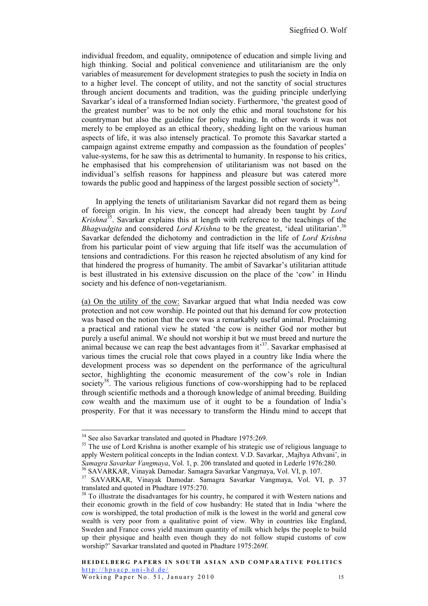individual freedom, and equality, omnipotence of education and simple living and high thinking. Social and political convenience and utilitarianism are the only variables of measurement for development strategies to push the society in India on to a higher level. The concept of utility, and not the sanctity of social structures through ancient documents and tradition, was the guiding principle underlying Savarkar's ideal of a transformed Indian society. Furthermore, 'the greatest good of the greatest number' was to be not only the ethic and moral touchstone for his countryman but also the guideline for policy making. In other words it was not merely to be employed as an ethical theory, shedding light on the various human aspects of life, it was also intensely practical. To promote this Savarkar started a campaign against extreme empathy and compassion as the foundation of peoples' value-systems, for he saw this as detrimental to humanity. In response to his critics, he emphasised that his comprehension of utilitarianism was not based on the individual's selfish reasons for happiness and pleasure but was catered more towards the public good and happiness of the largest possible section of society<sup>34</sup>.

In applying the tenets of utilitarianism Savarkar did not regard them as being of foreign origin. In his view, the concept had already been taught by *Lord Krishna*35. Savarkar explains this at length with reference to the teachings of the *Bhagvadgita* and considered *Lord Krishna* to be the greatest, 'ideal utilitarian'.<sup>36</sup> Savarkar defended the dichotomy and contradiction in the life of *Lord Krishna* from his particular point of view arguing that life itself was the accumulation of tensions and contradictions. For this reason he rejected absolutism of any kind for that hindered the progress of humanity. The ambit of Savarkar's utilitarian attitude is best illustrated in his extensive discussion on the place of the 'cow' in Hindu society and his defence of non-vegetarianism.

(a) On the utility of the cow: Savarkar argued that what India needed was cow protection and not cow worship. He pointed out that his demand for cow protection was based on the notion that the cow was a remarkably useful animal. Proclaiming a practical and rational view he stated 'the cow is neither God nor mother but purely a useful animal. We should not worship it but we must breed and nurture the animal because we can reap the best advantages from  $it<sup>37</sup>$ . Savarkar emphasised at various times the crucial role that cows played in a country like India where the development process was so dependent on the performance of the agricultural sector, highlighting the economic measurement of the cow's role in Indian society<sup>38</sup>. The various religious functions of cow-worshipping had to be replaced through scientific methods and a thorough knowledge of animal breeding. Building cow wealth and the maximum use of it ought to be a foundation of India's prosperity. For that it was necessary to transform the Hindu mind to accept that

 $34$  See also Savarkar translated and quoted in Phadtare 1975:269.<br><sup>35</sup> The use of Lord Krishna is another example of his strategic use of religious language to apply Western political concepts in the Indian context. V.D. Savarkar, 'Majhya Athvani', in Samagra Savarkar Vangmaya, Vol. 1, p. 206 translated and quoted in Lederle 1976:280.<br><sup>36</sup> SAVARKAR, Vinayak Damodar. Samagra Savarkar Vangmaya, Vol. VI, p. 107.<br><sup>37</sup> SAVARKAR, Vinayak Damodar. Samagra Savarkar Vangmaya, Vo

translated and quoted in Phadtare 1975:270.

<sup>&</sup>lt;sup>38</sup> To illustrate the disadvantages for his country, he compared it with Western nations and their economic growth in the field of cow husbandry: He stated that in India 'where the cow is worshipped, the total production of milk is the lowest in the world and general cow wealth is very poor from a qualitative point of view. Why in countries like England, Sweden and France cows yield maximum quantity of milk which helps the people to build up their physique and health even though they do not follow stupid customs of cow worship?' Savarkar translated and quoted in Phadtare 1975:269f.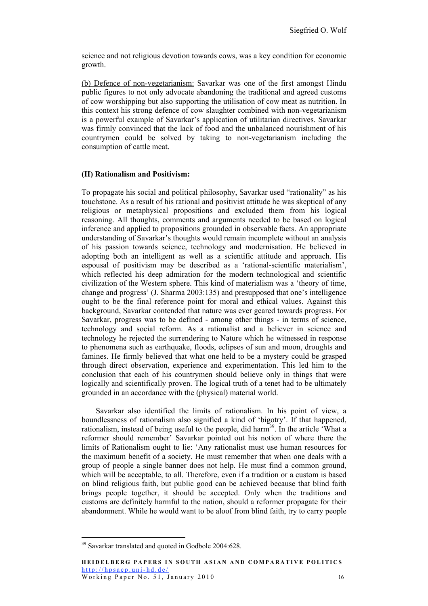science and not religious devotion towards cows, was a key condition for economic growth.

(b) Defence of non-vegetarianism: Savarkar was one of the first amongst Hindu public figures to not only advocate abandoning the traditional and agreed customs of cow worshipping but also supporting the utilisation of cow meat as nutrition. In this context his strong defence of cow slaughter combined with non-vegetarianism is a powerful example of Savarkar's application of utilitarian directives. Savarkar was firmly convinced that the lack of food and the unbalanced nourishment of his countrymen could be solved by taking to non-vegetarianism including the consumption of cattle meat.

#### **(II) Rationalism and Positivism:**

To propagate his social and political philosophy, Savarkar used "rationality" as his touchstone. As a result of his rational and positivist attitude he was skeptical of any religious or metaphysical propositions and excluded them from his logical reasoning. All thoughts, comments and arguments needed to be based on logical inference and applied to propositions grounded in observable facts. An appropriate understanding of Savarkar's thoughts would remain incomplete without an analysis of his passion towards science, technology and modernisation. He believed in adopting both an intelligent as well as a scientific attitude and approach. His espousal of positivism may be described as a 'rational-scientific materialism', which reflected his deep admiration for the modern technological and scientific civilization of the Western sphere. This kind of materialism was a 'theory of time, change and progress' (J. Sharma 2003:135) and presupposed that one's intelligence ought to be the final reference point for moral and ethical values. Against this background, Savarkar contended that nature was ever geared towards progress. For Savarkar, progress was to be defined - among other things - in terms of science, technology and social reform. As a rationalist and a believer in science and technology he rejected the surrendering to Nature which he witnessed in response to phenomena such as earthquake, floods, eclipses of sun and moon, droughts and famines. He firmly believed that what one held to be a mystery could be grasped through direct observation, experience and experimentation. This led him to the conclusion that each of his countrymen should believe only in things that were logically and scientifically proven. The logical truth of a tenet had to be ultimately grounded in an accordance with the (physical) material world.

Savarkar also identified the limits of rationalism. In his point of view, a boundlessness of rationalism also signified a kind of 'bigotry'. If that happened, rationalism, instead of being useful to the people, did harm<sup>39</sup>. In the article  $\hat{w}$  What a reformer should remember' Savarkar pointed out his notion of where there the limits of Rationalism ought to lie: 'Any rationalist must use human resources for the maximum benefit of a society. He must remember that when one deals with a group of people a single banner does not help. He must find a common ground, which will be acceptable, to all. Therefore, even if a tradition or a custom is based on blind religious faith, but public good can be achieved because that blind faith brings people together, it should be accepted. Only when the traditions and customs are definitely harmful to the nation, should a reformer propagate for their abandonment. While he would want to be aloof from blind faith, try to carry people

 <sup>39</sup> Savarkar translated and quoted in Godbole 2004:628.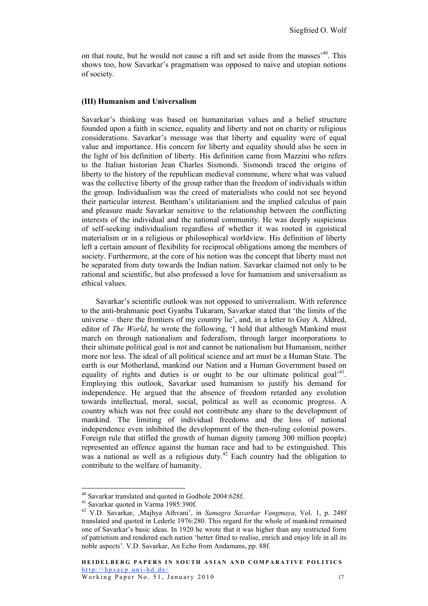on that route, but he would not cause a rift and set aside from the masses'40. This shows too, how Savarkar's pragmatism was opposed to naive and utopian notions of society.

#### **(III) Humanism and Universalism**

Savarkar's thinking was based on humanitarian values and a belief structure founded upon a faith in science, equality and liberty and not on charity or religious considerations. Savarkar's message was that liberty and equality were of equal value and importance. His concern for liberty and equality should also be seen in the light of his definition of liberty. His definition came from Mazzini who refers to the Italian historian Jean Charles Sismondi. Sismondi traced the origins of liberty to the history of the republican medieval commune, where what was valued was the collective liberty of the group rather than the freedom of individuals within the group. Individualism was the creed of materialists who could not see beyond their particular interest. Bentham's utilitarianism and the implied calculus of pain and pleasure made Savarkar sensitive to the relationship between the conflicting interests of the individual and the national community. He was deeply suspicious of self-seeking individualism regardless of whether it was rooted in egoistical materialism or in a religious or philosophical worldview. His definition of liberty left a certain amount of flexibility for reciprocal obligations among the members of society. Furthermore, at the core of his notion was the concept that liberty must not be separated from duty towards the Indian nation. Savarkar claimed not only to be rational and scientific, but also professed a love for humanism and universalism as ethical values.

Savarkar's scientific outlook was not opposed to universalism. With reference to the anti-brahmanic poet Gyanba Tukaram, Savarkar stated that 'the limits of the universe – there the frontiers of my country lie', and, in a letter to Guy A. Aldred, editor of *The World*, he wrote the following, 'I hold that although Mankind must march on through nationalism and federalism, through larger incorporations to their ultimate political goal is not and cannot be nationalism but Humanism, neither more nor less. The ideal of all political science and art must be a Human State. The earth is our Motherland, mankind our Nation and a Human Government based on equality of rights and duties is or ought to be our ultimate political goal<sup> $14$ </sup>. Employing this outlook, Savarkar used humanism to justify his demand for independence. He argued that the absence of freedom retarded any evolution towards intellectual, moral, social, political as well as economic progress. A country which was not free could not contribute any share to the development of mankind. The limiting of individual freedoms and the loss of national independence even inhibited the development of the then-ruling colonial powers. Foreign rule that stifled the growth of human dignity (among 300 million people) represented an offence against the human race and had to be extinguished. This was a national as well as a religious duty.<sup>42</sup> Each country had the obligation to contribute to the welfare of humanity.

 <sup>40</sup> Savarkar translated and quoted in Godbole 2004:628f.

<sup>41</sup> Savarkar quoted in Varma 1985:390f.

<sup>42</sup> V.D. Savarkar, 'Majhya Athvani', in *Samagra Savarkar Vangmaya*, Vol. 1, p. 248f translated and quoted in Lederle 1976:280. This regard for the whole of mankind remained one of Savarkar's basic ideas. In 1920 he wrote that it was higher than any restricted form of patriotism and rendered each nation 'better fitted to realise, enrich and enjoy life in all its noble aspects'. V.D. Savarkar, An Echo from Andamans, pp. 88f.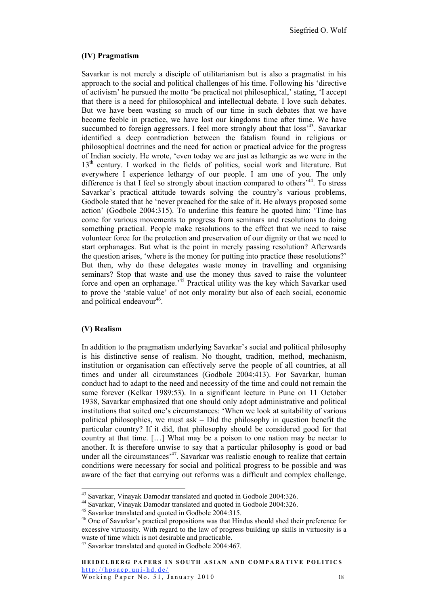#### **(IV) Pragmatism**

Savarkar is not merely a disciple of utilitarianism but is also a pragmatist in his approach to the social and political challenges of his time. Following his 'directive of activism' he pursued the motto 'be practical not philosophical,' stating, 'I accept that there is a need for philosophical and intellectual debate. I love such debates. But we have been wasting so much of our time in such debates that we have become feeble in practice, we have lost our kingdoms time after time. We have succumbed to foreign aggressors. I feel more strongly about that loss<sup>343</sup>. Savarkar identified a deep contradiction between the fatalism found in religious or philosophical doctrines and the need for action or practical advice for the progress of Indian society. He wrote, 'even today we are just as lethargic as we were in the 13<sup>th</sup> century. I worked in the fields of politics, social work and literature. But everywhere I experience lethargy of our people. I am one of you. The only difference is that I feel so strongly about inaction compared to others<sup>,44</sup>. To stress Savarkar's practical attitude towards solving the country's various problems, Godbole stated that he 'never preached for the sake of it. He always proposed some action' (Godbole 2004:315). To underline this feature he quoted him: 'Time has come for various movements to progress from seminars and resolutions to doing something practical. People make resolutions to the effect that we need to raise volunteer force for the protection and preservation of our dignity or that we need to start orphanages. But what is the point in merely passing resolution? Afterwards the question arises, 'where is the money for putting into practice these resolutions?' But then, why do these delegates waste money in travelling and organising seminars? Stop that waste and use the money thus saved to raise the volunteer force and open an orphanage.<sup>45</sup> Practical utility was the key which Savarkar used to prove the 'stable value' of not only morality but also of each social, economic and political endeavour<sup>46</sup>.

#### **(V) Realism**

In addition to the pragmatism underlying Savarkar's social and political philosophy is his distinctive sense of realism. No thought, tradition, method, mechanism, institution or organisation can effectively serve the people of all countries, at all times and under all circumstances (Godbole 2004:413). For Savarkar, human conduct had to adapt to the need and necessity of the time and could not remain the same forever (Kelkar 1989:53). In a significant lecture in Pune on 11 October 1938, Savarkar emphasized that one should only adopt administrative and political institutions that suited one's circumstances: 'When we look at suitability of various political philosophies, we must ask – Did the philosophy in question benefit the particular country? If it did, that philosophy should be considered good for that country at that time. […] What may be a poison to one nation may be nectar to another. It is therefore unwise to say that a particular philosophy is good or bad under all the circumstances<sup>247</sup>. Savarkar was realistic enough to realize that certain conditions were necessary for social and political progress to be possible and was aware of the fact that carrying out reforms was a difficult and complex challenge.

<sup>&</sup>lt;sup>43</sup> Savarkar, Vinayak Damodar translated and quoted in Godbole 2004:326.<br><sup>44</sup> Savarkar, Vinayak Damodar translated and quoted in Godbole 2004:326.<br><sup>45</sup> Savarkar translated and quoted in Godbole 2004:315.

<sup>46</sup> One of Savarkar's practical propositions was that Hindus should shed their preference for excessive virtuosity. With regard to the law of progress building up skills in virtuosity is a waste of time which is not desirable and practicable.

<sup>&</sup>lt;sup>47</sup> Savarkar translated and quoted in Godbole 2004:467.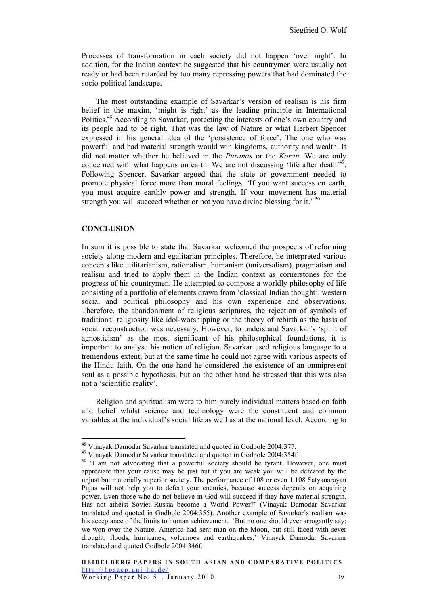Processes of transformation in each society did not happen 'over night'. In addition, for the Indian context he suggested that his countrymen were usually not ready or had been retarded by too many repressing powers that had dominated the socio-political landscape.

The most outstanding example of Savarkar's version of realism is his firm belief in the maxim, 'might is right' as the leading principle in International Politics.48 According to Savarkar, protecting the interests of one's own country and its people had to be right. That was the law of Nature or what Herbert Spencer expressed in his general idea of the 'persistence of force'. The one who was powerful and had material strength would win kingdoms, authority and wealth. It did not matter whether he believed in the *Puranas* or the *Koran*. We are only concerned with what happens on earth. We are not discussing 'life after death'<sup>49</sup>. Following Spencer, Savarkar argued that the state or government needed to promote physical force more than moral feelings. 'If you want success on earth, you must acquire earthly power and strength. If your movement has material strength you will succeed whether or not you have divine blessing for it.' <sup>50</sup>

#### **CONCLUSION**

In sum it is possible to state that Savarkar welcomed the prospects of reforming society along modern and egalitarian principles. Therefore, he interpreted various concepts like utilitarianism, rationalism, humanism (universalism), pragmatism and realism and tried to apply them in the Indian context as cornerstones for the progress of his countrymen. He attempted to compose a worldly philosophy of life consisting of a portfolio of elements drawn from 'classical Indian thought', western social and political philosophy and his own experience and observations. Therefore, the abandonment of religious scriptures, the rejection of symbols of traditional religiosity like idol-worshipping or the theory of rebirth as the basis of social reconstruction was necessary. However, to understand Savarkar's 'spirit of agnosticism' as the most significant of his philosophical foundations, it is important to analyse his notion of religion. Savarkar used religious language to a tremendous extent, but at the same time he could not agree with various aspects of the Hindu faith. On the one hand he considered the existence of an omnipresent soul as a possible hypothesis, but on the other hand he stressed that this was also not a 'scientific reality'.

Religion and spiritualism were to him purely individual matters based on faith and belief whilst science and technology were the constituent and common variables at the individual's social life as well as at the national level. According to

 <sup>48</sup> Vinayak Damodar Savarkar translated and quoted in Godbole 2004:377.

<sup>49</sup> Vinayak Damodar Savarkar translated and quoted in Godbole 2004:354f.

<sup>&</sup>lt;sup>50</sup> 'I am not advocating that a powerful society should be tyrant. However, one must appreciate that your cause may be just but if you are weak you will be defeated by the unjust but materially superior society. The performance of 108 or even 1.108 Satyanarayan Pujas will not help you to defeat your enemies, because success depends on acquiring power. Even those who do not believe in God will succeed if they have material strength. Has not atheist Soviet Russia become a World Power?' (Vinayak Damodar Savarkar translated and quoted in Godbole 2004:355). Another example of Savarkar's realism was his acceptance of the limits to human achievement. 'But no one should ever arrogantly say: we won over the Nature. America had sent man on the Moon, but still faced with sever drought, floods, hurricanes, volcanoes and earthquakes,' Vinayak Damodar Savarkar translated and quoted Godbole 2004:346f.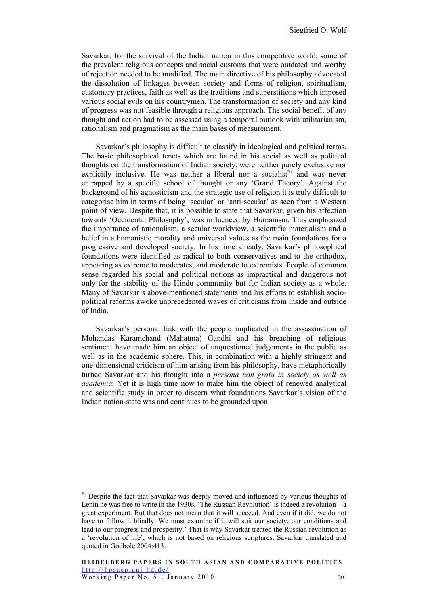Savarkar, for the survival of the Indian nation in this competitive world, some of the prevalent religious concepts and social customs that were outdated and worthy of rejection needed to be modified. The main directive of his philosophy advocated the dissolution of linkages between society and forms of religion, spiritualism, customary practices, faith as well as the traditions and superstitions which imposed various social evils on his countrymen. The transformation of society and any kind of progress was not feasible through a religious approach. The social benefit of any thought and action had to be assessed using a temporal outlook with utilitarianism, rationalism and pragmatism as the main bases of measurement.

Savarkar's philosophy is difficult to classify in ideological and political terms. The basic philosophical tenets which are found in his social as well as political thoughts on the transformation of Indian society, were neither purely exclusive nor explicitly inclusive. He was neither a liberal nor a socialist<sup>51</sup> and was never entrapped by a specific school of thought or any 'Grand Theory'. Against the background of his agnosticism and the strategic use of religion it is truly difficult to categorise him in terms of being 'secular' or 'anti-secular' as seen from a Western point of view. Despite that, it is possible to state that Savarkar, given his affection towards 'Occidental Philosophy', was influenced by Humanism. This emphasized the importance of rationalism, a secular worldview, a scientific materialism and a belief in a humanistic morality and universal values as the main foundations for a progressive and developed society. In his time already, Savarkar's philosophical foundations were identified as radical to both conservatives and to the orthodox, appearing as extreme to moderates, and moderate to extremists. People of common sense regarded his social and political notions as impractical and dangerous not only for the stability of the Hindu community but for Indian society as a whole. Many of Savarkar's above-mentioned statements and his efforts to establish sociopolitical reforms awoke unprecedented waves of criticisms from inside and outside of India.

Savarkar's personal link with the people implicated in the assassination of Mohandas Karamchand (Mahatma) Gandhi and his breaching of religious sentiment have made him an object of unquestioned judgements in the public as well as in the academic sphere. This, in combination with a highly stringent and one-dimensional criticism of him arising from his philosophy, have metaphorically turned Savarkar and his thought into a *persona non grata in society as well as academia.* Yet it is high time now to make him the object of renewed analytical and scientific study in order to discern what foundations Savarkar's vision of the Indian nation-state was and continues to be grounded upon.

<sup>&</sup>lt;sup>51</sup> Despite the fact that Savarkar was deeply moved and influenced by various thoughts of Lenin he was free to write in the 1930s, 'The Russian Revolution' is indeed a revolution – a great experiment. But that does not mean that it will succeed. And even if it did, we do not have to follow it blindly. We must examine if it will suit our society, our conditions and lead to our progress and prosperity.' That is why Savarkar treated the Russian revolution as a 'revolution of life', which is not based on religious scriptures. Savarkar translated and quoted in Godbole 2004:413.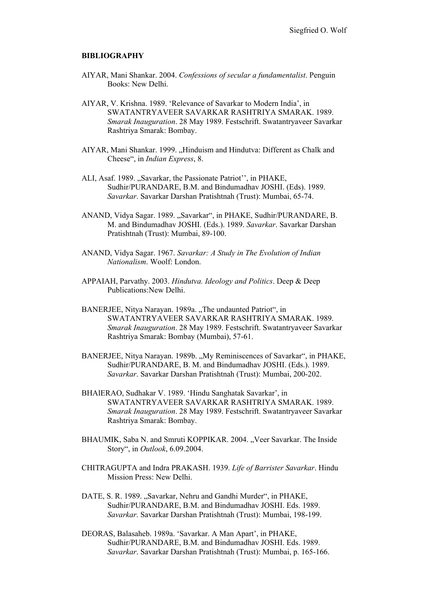#### **BIBLIOGRAPHY**

- AIYAR, Mani Shankar. 2004. *Confessions of secular a fundamentalist*. Penguin Books: New Delhi.
- AIYAR, V. Krishna. 1989. 'Relevance of Savarkar to Modern India', in SWATANTRYAVEER SAVARKAR RASHTRIYA SMARAK. 1989. *Smarak Inauguration*. 28 May 1989. Festschrift. Swatantryaveer Savarkar Rashtriya Smarak: Bombay.
- AIYAR, Mani Shankar. 1999. "Hinduism and Hindutva: Different as Chalk and Cheese", in *Indian Express*, 8.
- ALI, Asaf. 1989. "Savarkar, the Passionate Patriot", in PHAKE, Sudhir/PURANDARE, B.M. and Bindumadhav JOSHI. (Eds). 1989. *Savarkar*. Savarkar Darshan Pratishtnah (Trust): Mumbai, 65-74.
- ANAND, Vidya Sagar. 1989. "Savarkar", in PHAKE, Sudhir/PURANDARE, B. M. and Bindumadhav JOSHI. (Eds.). 1989. *Savarkar*. Savarkar Darshan Pratishtnah (Trust): Mumbai, 89-100.
- ANAND, Vidya Sagar. 1967. *Savarkar: A Study in The Evolution of Indian Nationalism*. Woolf: London.
- APPAIAH, Parvathy. 2003. *Hindutva. Ideology and Politics*. Deep & Deep Publications:New Delhi.
- BANERJEE, Nitya Narayan. 1989a. "The undaunted Patriot", in SWATANTRYAVEER SAVARKAR RASHTRIYA SMARAK. 1989. *Smarak Inauguration*. 28 May 1989. Festschrift. Swatantryaveer Savarkar Rashtriya Smarak: Bombay (Mumbai), 57-61.
- BANERJEE, Nitya Narayan. 1989b. "My Reminiscences of Savarkar", in PHAKE, Sudhir/PURANDARE, B. M. and Bindumadhav JOSHI. (Eds.). 1989. *Savarkar*. Savarkar Darshan Pratishtnah (Trust): Mumbai, 200-202.
- BHAlERAO, Sudhakar V. 1989. 'Hindu Sanghatak Savarkar', in SWATANTRYAVEER SAVARKAR RASHTRIYA SMARAK. 1989. *Smarak Inauguration*. 28 May 1989. Festschrift. Swatantryaveer Savarkar Rashtriya Smarak: Bombay.
- BHAUMIK, Saba N. and Smruti KOPPIKAR. 2004. "Veer Savarkar. The Inside Story", in *Outlook*, 6.09.2004.
- CHITRAGUPTA and Indra PRAKASH. 1939. *Life of Barrister Savarkar*. Hindu Mission Press: New Delhi.
- DATE, S. R. 1989. "Savarkar, Nehru and Gandhi Murder", in PHAKE, Sudhir/PURANDARE, B.M. and Bindumadhav JOSHI. Eds. 1989. *Savarkar*. Savarkar Darshan Pratishtnah (Trust): Mumbai, 198-199.
- DEORAS, Balasaheb. 1989a. 'Savarkar. A Man Apart', in PHAKE, Sudhir/PURANDARE, B.M. and Bindumadhav JOSHI. Eds. 1989. *Savarkar*. Savarkar Darshan Pratishtnah (Trust): Mumbai, p. 165-166.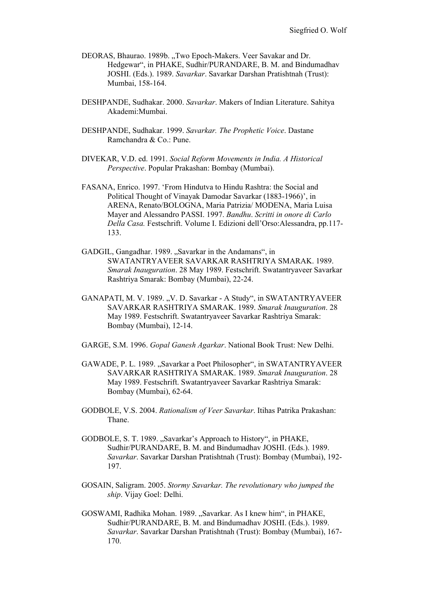- DEORAS, Bhaurao. 1989b. "Two Epoch-Makers. Veer Savakar and Dr. Hedgewar", in PHAKE, Sudhir/PURANDARE, B. M. and Bindumadhav JOSHI. (Eds.). 1989. *Savarkar*. Savarkar Darshan Pratishtnah (Trust): Mumbai, 158-164.
- DESHPANDE, Sudhakar. 2000. *Savarkar*. Makers of Indian Literature. Sahitya Akademi:Mumbai.
- DESHPANDE, Sudhakar. 1999. *Savarkar. The Prophetic Voice*. Dastane Ramchandra & Co.: Pune.
- DIVEKAR, V.D. ed. 1991. *Social Reform Movements in India. A Historical Perspective*. Popular Prakashan: Bombay (Mumbai).
- FASANA, Enrico. 1997. 'From Hindutva to Hindu Rashtra: the Social and Political Thought of Vinayak Damodar Savarkar (1883-1966)', in ARENA, Renato/BOLOGNA, Maria Patrizia/ MODENA, Maria Luisa Mayer and Alessandro PASSI. 1997. *Bandhu*. *Scritti in onore di Carlo Della Casa.* Festschrift. Volume I. Edizioni dell'Orso:Alessandra, pp.117- 133.
- GADGIL, Gangadhar, 1989. "Savarkar in the Andamans", in SWATANTRYAVEER SAVARKAR RASHTRIYA SMARAK. 1989. *Smarak Inauguration*. 28 May 1989. Festschrift. Swatantryaveer Savarkar Rashtriya Smarak: Bombay (Mumbai), 22-24.
- GANAPATI, M. V. 1989. "V. D. Savarkar A Study", in SWATANTRYAVEER SAVARKAR RASHTRIYA SMARAK. 1989. *Smarak Inauguration*. 28 May 1989. Festschrift. Swatantryaveer Savarkar Rashtriya Smarak: Bombay (Mumbai), 12-14.
- GARGE, S.M. 1996. *Gopal Ganesh Agarkar*. National Book Trust: New Delhi.
- GAWADE, P. L. 1989. "Savarkar a Poet Philosopher", in SWATANTRYAVEER SAVARKAR RASHTRIYA SMARAK. 1989. *Smarak Inauguration*. 28 May 1989. Festschrift. Swatantryaveer Savarkar Rashtriya Smarak: Bombay (Mumbai), 62-64.
- GODBOLE, V.S. 2004. *Rationalism of Veer Savarkar*. Itihas Patrika Prakashan: Thane.
- GODBOLE, S. T. 1989. "Savarkar's Approach to History", in PHAKE, Sudhir/PURANDARE, B. M. and Bindumadhav JOSHI. (Eds.). 1989. *Savarkar*. Savarkar Darshan Pratishtnah (Trust): Bombay (Mumbai), 192- 197.
- GOSAIN, Saligram. 2005. *Stormy Savarkar. The revolutionary who jumped the ship*. Vijay Goel: Delhi.
- GOSWAMI, Radhika Mohan. 1989. "Savarkar. As I knew him", in PHAKE, Sudhir/PURANDARE, B. M. and Bindumadhav JOSHI. (Eds.). 1989. *Savarkar*. Savarkar Darshan Pratishtnah (Trust): Bombay (Mumbai), 167- 170.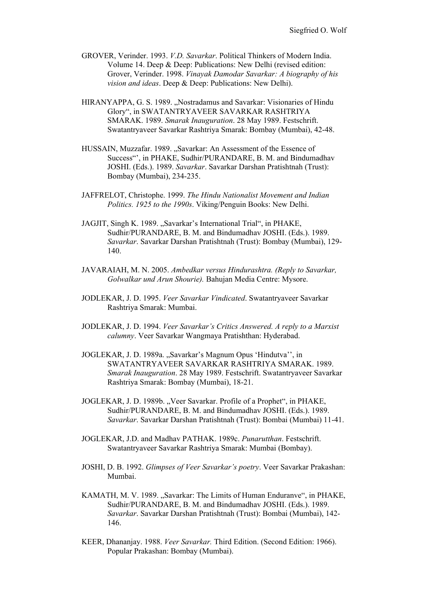- GROVER, Verinder. 1993. *V.D. Savarkar*. Political Thinkers of Modern India. Volume 14. Deep & Deep: Publications: New Delhi (revised edition: Grover, Verinder. 1998. *Vinayak Damodar Savarkar: A biography of his vision and ideas*. Deep & Deep: Publications: New Delhi).
- HIRANYAPPA, G. S. 1989. "Nostradamus and Savarkar: Visionaries of Hindu Glory", in SWATANTRYAVEER SAVARKAR RASHTRIYA SMARAK. 1989. *Smarak Inauguration*. 28 May 1989. Festschrift. Swatantryaveer Savarkar Rashtriya Smarak: Bombay (Mumbai), 42-48.
- HUSSAIN, Muzzafar. 1989. "Savarkar: An Assessment of the Essence of Success"', in PHAKE, Sudhir/PURANDARE, B. M. and Bindumadhav JOSHI. (Eds.). 1989. *Savarkar*. Savarkar Darshan Pratishtnah (Trust): Bombay (Mumbai), 234-235.
- JAFFRELOT, Christophe. 1999. *The Hindu Nationalist Movement and Indian Politics. 1925 to the 1990s*. Viking/Penguin Books: New Delhi.
- JAGJIT, Singh K. 1989. "Savarkar's International Trial", in PHAKE, Sudhir/PURANDARE, B. M. and Bindumadhav JOSHI. (Eds.). 1989. *Savarkar*. Savarkar Darshan Pratishtnah (Trust): Bombay (Mumbai), 129- 140.
- JAVARAIAH, M. N. 2005. *Ambedkar versus Hindurashtra. (Reply to Savarkar, Golwalkar und Arun Shourie).* Bahujan Media Centre: Mysore.
- JODLEKAR, J. D. 1995. *Veer Savarkar Vindicated*. Swatantryaveer Savarkar Rashtriya Smarak: Mumbai.
- JODLEKAR, J. D. 1994. *Veer Savarkar's Critics Answered. A reply to a Marxist calumny*. Veer Savarkar Wangmaya Pratishthan: Hyderabad.
- JOGLEKAR, J. D. 1989a. "Savarkar's Magnum Opus 'Hindutva'', in SWATANTRYAVEER SAVARKAR RASHTRIYA SMARAK. 1989. *Smarak Inauguration*. 28 May 1989. Festschrift. Swatantryaveer Savarkar Rashtriya Smarak: Bombay (Mumbai), 18-21.
- JOGLEKAR, J. D. 1989b. "Veer Savarkar. Profile of a Prophet", in PHAKE, Sudhir/PURANDARE, B. M. and Bindumadhav JOSHI. (Eds.). 1989. *Savarkar*. Savarkar Darshan Pratishtnah (Trust): Bombai (Mumbai) 11-41.
- JOGLEKAR, J.D. and Madhav PATHAK. 1989c. *Punarutthan*. Festschrift. Swatantryaveer Savarkar Rashtriya Smarak: Mumbai (Bombay).
- JOSHI, D. B. 1992. *Glimpses of Veer Savarkar's poetry*. Veer Savarkar Prakashan: Mumbai.
- KAMATH, M. V. 1989. "Savarkar: The Limits of Human Enduranve", in PHAKE, Sudhir/PURANDARE, B. M. and Bindumadhav JOSHI. (Eds.). 1989. *Savarkar*. Savarkar Darshan Pratishtnah (Trust): Bombai (Mumbai), 142- 146.
- KEER, Dhananjay. 1988. *Veer Savarkar.* Third Edition. (Second Edition: 1966). Popular Prakashan: Bombay (Mumbai).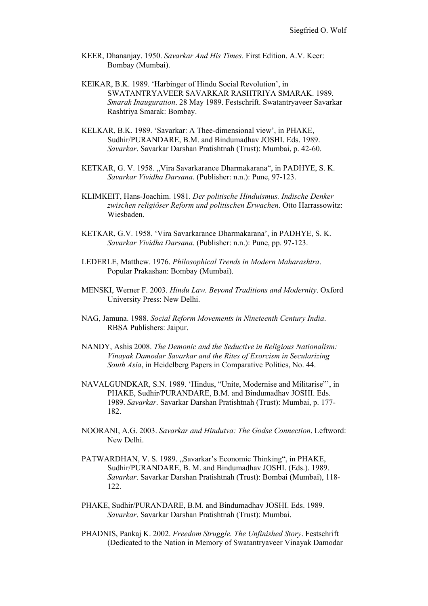- KEER, Dhananjay. 1950. *Savarkar And His Times*. First Edition. A.V. Keer: Bombay (Mumbai).
- KElKAR, B.K. 1989. 'Harbinger of Hindu Social Revolution', in SWATANTRYAVEER SAVARKAR RASHTRIYA SMARAK. 1989. *Smarak Inauguration*. 28 May 1989. Festschrift. Swatantryaveer Savarkar Rashtriya Smarak: Bombay.
- KELKAR, B.K. 1989. 'Savarkar: A Thee-dimensional view', in PHAKE, Sudhir/PURANDARE, B.M. and Bindumadhav JOSHI. Eds. 1989. *Savarkar*. Savarkar Darshan Pratishtnah (Trust): Mumbai, p. 42-60.
- KETKAR, G. V. 1958. "Vira Savarkarance Dharmakarana", in PADHYE, S. K. *Savarkar Vividha Darsana*. (Publisher: n.n.): Pune, 97-123.
- KLIMKEIT, Hans-Joachim. 1981. *Der politische Hinduismus. Indische Denker zwischen religiöser Reform und politischen Erwachen*. Otto Harrassowitz: Wiesbaden.
- KETKAR, G.V. 1958. 'Vira Savarkarance Dharmakarana', in PADHYE, S. K. *Savarkar Vividha Darsana*. (Publisher: n.n.): Pune, pp. 97-123.
- LEDERLE, Matthew. 1976. *Philosophical Trends in Modern Maharashtra*. Popular Prakashan: Bombay (Mumbai).
- MENSKI, Werner F. 2003. *Hindu Law. Beyond Traditions and Modernity*. Oxford University Press: New Delhi.
- NAG, Jamuna. 1988. *Social Reform Movements in Nineteenth Century India*. RBSA Publishers: Jaipur.
- NANDY, Ashis 2008. *The Demonic and the Seductive in Religious Nationalism: Vinayak Damodar Savarkar and the Rites of Exorcism in Secularizing South Asia*, in Heidelberg Papers in Comparative Politics, No. 44.
- NAVALGUNDKAR, S.N. 1989. 'Hindus, "Unite, Modernise and Militarise"', in PHAKE, Sudhir/PURANDARE, B.M. and Bindumadhav JOSHI. Eds. 1989. *Savarkar*. Savarkar Darshan Pratishtnah (Trust): Mumbai, p. 177- 182.
- NOORANI, A.G. 2003. *Savarkar and Hindutva: The Godse Connection*. Leftword: New Delhi.
- PATWARDHAN, V. S. 1989. "Savarkar's Economic Thinking", in PHAKE, Sudhir/PURANDARE, B. M. and Bindumadhav JOSHI. (Eds.). 1989. *Savarkar*. Savarkar Darshan Pratishtnah (Trust): Bombai (Mumbai), 118- 122.
- PHAKE, Sudhir/PURANDARE, B.M. and Bindumadhav JOSHI. Eds. 1989. *Savarkar*. Savarkar Darshan Pratishtnah (Trust): Mumbai.
- PHADNIS, Pankaj K. 2002. *Freedom Struggle. The Unfinished Story*. Festschrift (Dedicated to the Nation in Memory of Swatantryaveer Vinayak Damodar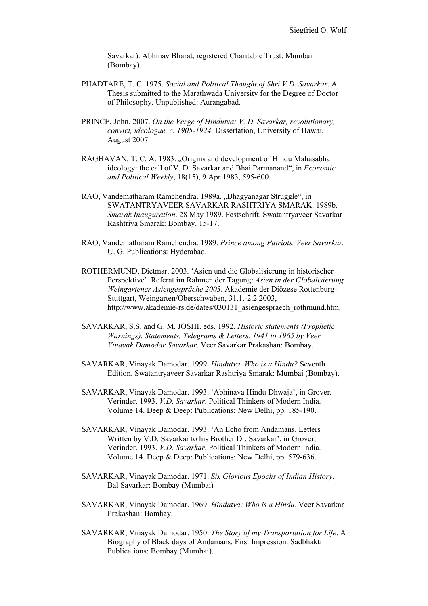Savarkar). Abhinav Bharat, registered Charitable Trust: Mumbai (Bombay).

- PHADTARE, T. C. 1975. *Social and Political Thought of Shri V.D. Savarkar*. A Thesis submitted to the Marathwada University for the Degree of Doctor of Philosophy. Unpublished: Aurangabad.
- PRINCE, John. 2007. *On the Verge of Hindutva: V. D. Savarkar, revolutionary, convict, ideologue, c. 1905-1924.* Dissertation, University of Hawai, August 2007.
- RAGHAVAN, T. C. A. 1983. "Origins and development of Hindu Mahasabha ideology: the call of V. D. Savarkar and Bhai Parmanand", in *Economic and Political Weekly*, 18(15), 9 Apr 1983, 595-600.
- RAO, Vandematharam Ramchendra. 1989a. "Bhagyanagar Struggle", in SWATANTRYAVEER SAVARKAR RASHTRIYA SMARAK. 1989b. *Smarak Inauguration*. 28 May 1989. Festschrift. Swatantryaveer Savarkar Rashtriya Smarak: Bombay. 15-17.
- RAO, Vandematharam Ramchendra. 1989. *Prince among Patriots. Veer Savarkar.*  U. G. Publications: Hyderabad.
- ROTHERMUND, Dietmar. 2003. 'Asien und die Globalisierung in historischer Perspektive'. Referat im Rahmen der Tagung: *Asien in der Globalisierung Weingartener Asiengespräche 2003*. Akademie der Diözese Rottenburg-Stuttgart, Weingarten/Oberschwaben, 31.1.-2.2.2003, http://www.akademie-rs.de/dates/030131\_asiengespraech\_rothmund.htm.
- SAVARKAR, S.S. and G. M. JOSHI. eds. 1992. *Historic statements (Prophetic Warnings). Statements, Telegrams & Letters. 1941 to 1965 by Veer Vinayak Damodar Savarkar*. Veer Savarkar Prakashan: Bombay.
- SAVARKAR, Vinayak Damodar. 1999. *Hindutva. Who is a Hindu?* Seventh Edition. Swatantryaveer Savarkar Rashtriya Smarak: Mumbai (Bombay).
- SAVARKAR, Vinayak Damodar. 1993. 'Abhinava Hindu Dhwaja', in Grover, Verinder. 1993. *V.D. Savarkar*. Political Thinkers of Modern India. Volume 14. Deep & Deep: Publications: New Delhi, pp. 185-190.
- SAVARKAR, Vinayak Damodar. 1993. 'An Echo from Andamans. Letters Written by V.D. Savarkar to his Brother Dr. Savarkar', in Grover, Verinder. 1993. *V.D. Savarkar*. Political Thinkers of Modern India. Volume 14. Deep & Deep: Publications: New Delhi, pp. 579-636.
- SAVARKAR, Vinayak Damodar. 1971. *Six Glorious Epochs of Indian History*. Bal Savarkar: Bombay (Mumbai)
- SAVARKAR, Vinayak Damodar. 1969. *Hindutva: Who is a Hindu.* Veer Savarkar Prakashan: Bombay.
- SAVARKAR, Vinayak Damodar. 1950. *The Story of my Transportation for Life*. A Biography of Black days of Andamans. First Impression. Sadbhakti Publications: Bombay (Mumbai).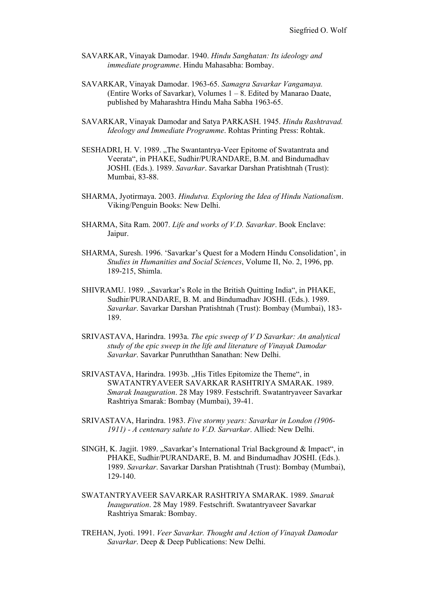- SAVARKAR, Vinayak Damodar. 1940. *Hindu Sanghatan: Its ideology and immediate programme*. Hindu Mahasabha: Bombay.
- SAVARKAR, Vinayak Damodar. 1963-65. *Samagra Savarkar Vangamaya.* (Entire Works of Savarkar), Volumes 1 – 8. Edited by Manarao Daate, published by Maharashtra Hindu Maha Sabha 1963-65.
- SAVARKAR, Vinayak Damodar and Satya PARKASH. 1945. *Hindu Rashtravad. Ideology and Immediate Programme*. Rohtas Printing Press: Rohtak.
- SESHADRI, H. V. 1989. "The Swantantrya-Veer Epitome of Swatantrata and Veerata", in PHAKE, Sudhir/PURANDARE, B.M. and Bindumadhav JOSHI. (Eds.). 1989. *Savarkar*. Savarkar Darshan Pratishtnah (Trust): Mumbai, 83-88.
- SHARMA, Jyotirmaya. 2003. *Hindutva. Exploring the Idea of Hindu Nationalism*. Viking/Penguin Books: New Delhi.
- SHARMA, Sita Ram. 2007. *Life and works of V.D. Savarkar*. Book Enclave: Jaipur.
- SHARMA, Suresh. 1996. 'Savarkar's Quest for a Modern Hindu Consolidation', in *Studies in Humanities and Social Sciences*, Volume II, No. 2, 1996, pp. 189-215, Shimla.
- SHIVRAMU. 1989. "Savarkar's Role in the British Quitting India", in PHAKE, Sudhir/PURANDARE, B. M. and Bindumadhav JOSHI. (Eds.). 1989. *Savarkar*. Savarkar Darshan Pratishtnah (Trust): Bombay (Mumbai), 183- 189.
- SRIVASTAVA, Harindra. 1993a. *The epic sweep of V D Savarkar: An analytical study of the epic sweep in the life and literature of Vinayak Damodar Savarkar*. Savarkar Punruththan Sanathan: New Delhi.
- SRIVASTAVA, Harindra. 1993b. "His Titles Epitomize the Theme", in SWATANTRYAVEER SAVARKAR RASHTRIYA SMARAK. 1989. *Smarak Inauguration*. 28 May 1989. Festschrift. Swatantryaveer Savarkar Rashtriya Smarak: Bombay (Mumbai), 39-41.
- SRIVASTAVA, Harindra. 1983. *Five stormy years: Savarkar in London (1906- 1911) - A centenary salute to V.D. Sarvarkar*. Allied: New Delhi.
- SINGH, K. Jagjit. 1989. "Savarkar's International Trial Background & Impact", in PHAKE, Sudhir/PURANDARE, B. M. and Bindumadhav JOSHI. (Eds.). 1989. *Savarkar*. Savarkar Darshan Pratishtnah (Trust): Bombay (Mumbai), 129-140.
- SWATANTRYAVEER SAVARKAR RASHTRIYA SMARAK. 1989. *Smarak Inauguration*. 28 May 1989. Festschrift. Swatantryaveer Savarkar Rashtriya Smarak: Bombay.
- TREHAN, Jyoti. 1991. *Veer Savarkar. Thought and Action of Vinayak Damodar Savarkar*. Deep & Deep Publications: New Delhi.